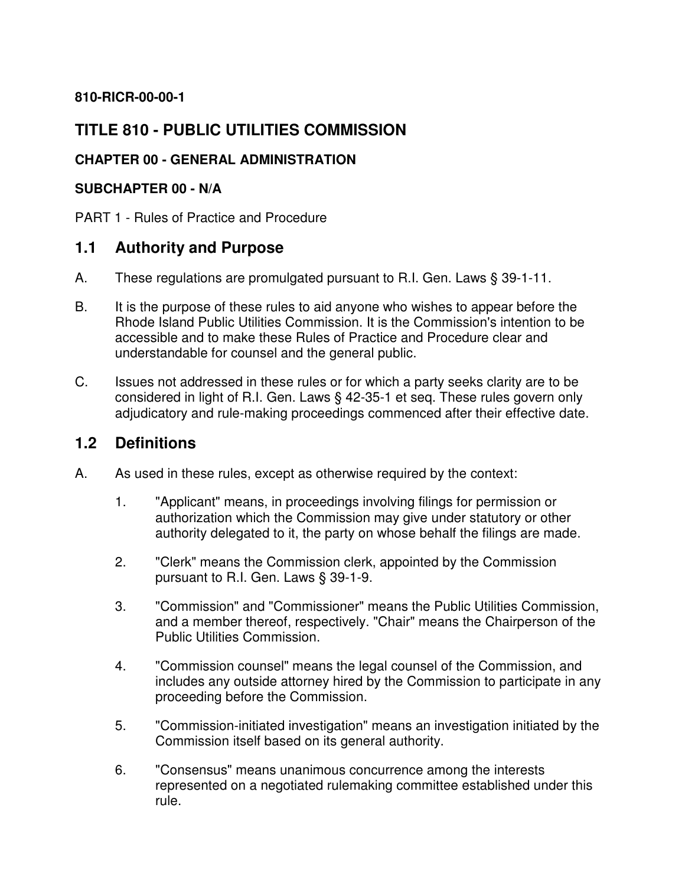#### **810-RICR-00-00-1**

### **TITLE 810 - PUBLIC UTILITIES COMMISSION**

#### **CHAPTER 00 - GENERAL ADMINISTRATION**

#### **SUBCHAPTER 00 - N/A**

PART 1 - Rules of Practice and Procedure

#### **1.1 Authority and Purpose**

- A. These regulations are promulgated pursuant to R.I. Gen. Laws § 39-1-11.
- B. It is the purpose of these rules to aid anyone who wishes to appear before the Rhode Island Public Utilities Commission. It is the Commission's intention to be accessible and to make these Rules of Practice and Procedure clear and understandable for counsel and the general public.
- C. Issues not addressed in these rules or for which a party seeks clarity are to be considered in light of R.I. Gen. Laws § 42-35-1 et seq. These rules govern only adjudicatory and rule-making proceedings commenced after their effective date.

#### **1.2 Definitions**

- A. As used in these rules, except as otherwise required by the context:
	- 1. "Applicant" means, in proceedings involving filings for permission or authorization which the Commission may give under statutory or other authority delegated to it, the party on whose behalf the filings are made.
	- 2. "Clerk" means the Commission clerk, appointed by the Commission pursuant to R.I. Gen. Laws § 39-1-9.
	- 3. "Commission" and "Commissioner" means the Public Utilities Commission, and a member thereof, respectively. "Chair" means the Chairperson of the Public Utilities Commission.
	- 4. "Commission counsel" means the legal counsel of the Commission, and includes any outside attorney hired by the Commission to participate in any proceeding before the Commission.
	- 5. "Commission-initiated investigation" means an investigation initiated by the Commission itself based on its general authority.
	- 6. "Consensus" means unanimous concurrence among the interests represented on a negotiated rulemaking committee established under this rule.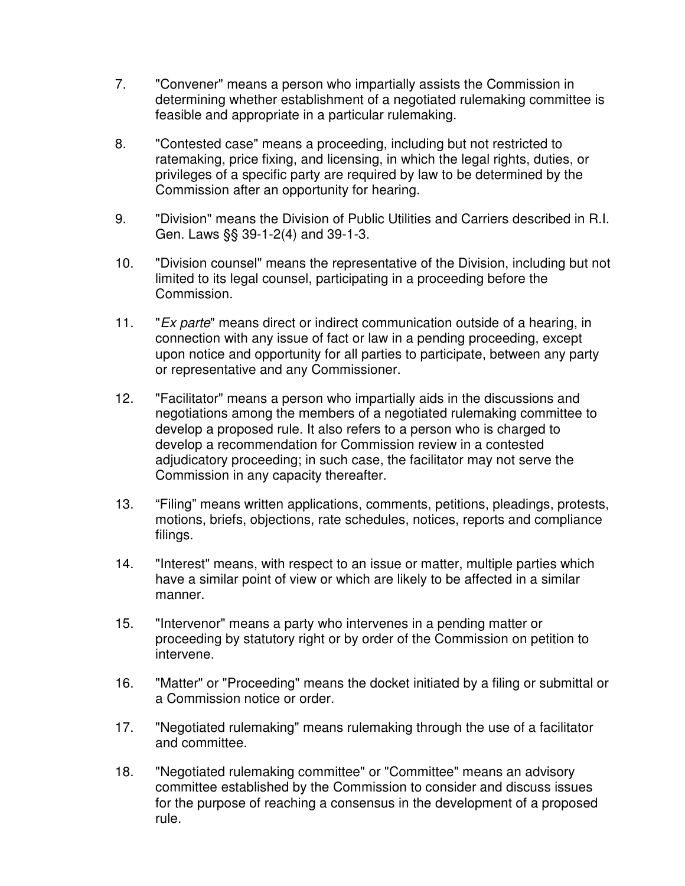- 7. "Convener" means a person who impartially assists the Commission in determining whether establishment of a negotiated rulemaking committee is feasible and appropriate in a particular rulemaking.
- 8. "Contested case" means a proceeding, including but not restricted to ratemaking, price fixing, and licensing, in which the legal rights, duties, or privileges of a specific party are required by law to be determined by the Commission after an opportunity for hearing.
- 9. "Division" means the Division of Public Utilities and Carriers described in R.I. Gen. Laws §§ 39-1-2(4) and 39-1-3.
- 10. "Division counsel" means the representative of the Division, including but not limited to its legal counsel, participating in a proceeding before the Commission.
- 11. "Ex parte" means direct or indirect communication outside of a hearing, in connection with any issue of fact or law in a pending proceeding, except upon notice and opportunity for all parties to participate, between any party or representative and any Commissioner.
- 12. "Facilitator" means a person who impartially aids in the discussions and negotiations among the members of a negotiated rulemaking committee to develop a proposed rule. It also refers to a person who is charged to develop a recommendation for Commission review in a contested adjudicatory proceeding; in such case, the facilitator may not serve the Commission in any capacity thereafter.
- 13. "Filing" means written applications, comments, petitions, pleadings, protests, motions, briefs, objections, rate schedules, notices, reports and compliance filings.
- 14. "Interest" means, with respect to an issue or matter, multiple parties which have a similar point of view or which are likely to be affected in a similar manner.
- 15. "Intervenor" means a party who intervenes in a pending matter or proceeding by statutory right or by order of the Commission on petition to intervene.
- 16. "Matter" or "Proceeding" means the docket initiated by a filing or submittal or a Commission notice or order.
- 17. "Negotiated rulemaking" means rulemaking through the use of a facilitator and committee.
- 18. "Negotiated rulemaking committee" or "Committee" means an advisory committee established by the Commission to consider and discuss issues for the purpose of reaching a consensus in the development of a proposed rule.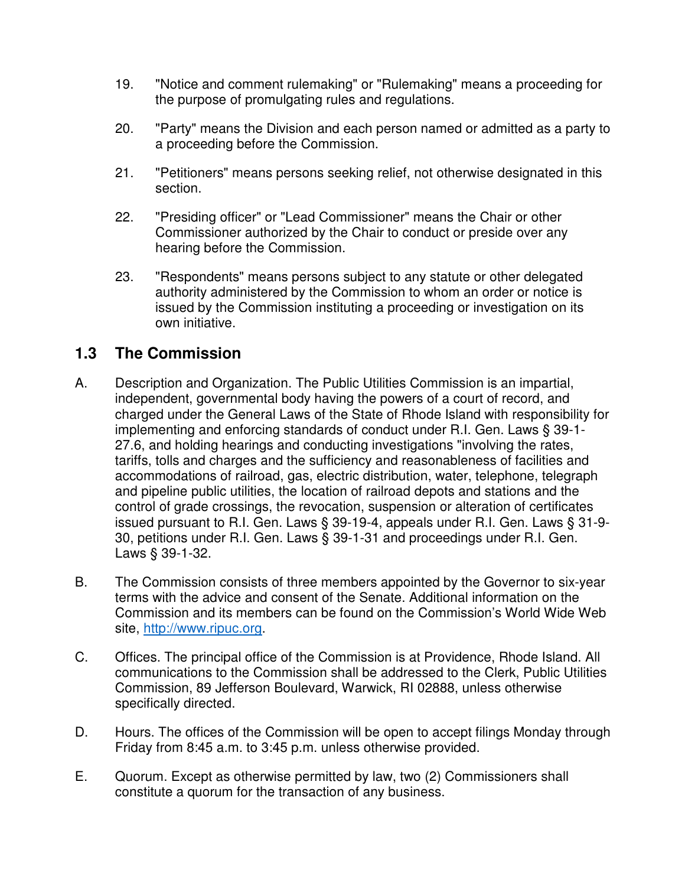- 19. "Notice and comment rulemaking" or "Rulemaking" means a proceeding for the purpose of promulgating rules and regulations.
- 20. "Party" means the Division and each person named or admitted as a party to a proceeding before the Commission.
- 21. "Petitioners" means persons seeking relief, not otherwise designated in this section.
- 22. "Presiding officer" or "Lead Commissioner" means the Chair or other Commissioner authorized by the Chair to conduct or preside over any hearing before the Commission.
- 23. "Respondents" means persons subject to any statute or other delegated authority administered by the Commission to whom an order or notice is issued by the Commission instituting a proceeding or investigation on its own initiative.

#### **1.3 The Commission**

- A. Description and Organization. The Public Utilities Commission is an impartial, independent, governmental body having the powers of a court of record, and charged under the General Laws of the State of Rhode Island with responsibility for implementing and enforcing standards of conduct under R.I. Gen. Laws § 39-1- 27.6, and holding hearings and conducting investigations "involving the rates, tariffs, tolls and charges and the sufficiency and reasonableness of facilities and accommodations of railroad, gas, electric distribution, water, telephone, telegraph and pipeline public utilities, the location of railroad depots and stations and the control of grade crossings, the revocation, suspension or alteration of certificates issued pursuant to R.I. Gen. Laws § 39-19-4, appeals under R.I. Gen. Laws § 31-9- 30, petitions under R.I. Gen. Laws § 39-1-31 and proceedings under R.I. Gen. Laws § 39-1-32.
- B. The Commission consists of three members appointed by the Governor to six-year terms with the advice and consent of the Senate. Additional information on the Commission and its members can be found on the Commission's World Wide Web site, http://www.ripuc.org.
- C. Offices. The principal office of the Commission is at Providence, Rhode Island. All communications to the Commission shall be addressed to the Clerk, Public Utilities Commission, 89 Jefferson Boulevard, Warwick, RI 02888, unless otherwise specifically directed.
- D. Hours. The offices of the Commission will be open to accept filings Monday through Friday from 8:45 a.m. to 3:45 p.m. unless otherwise provided.
- E. Quorum. Except as otherwise permitted by law, two (2) Commissioners shall constitute a quorum for the transaction of any business.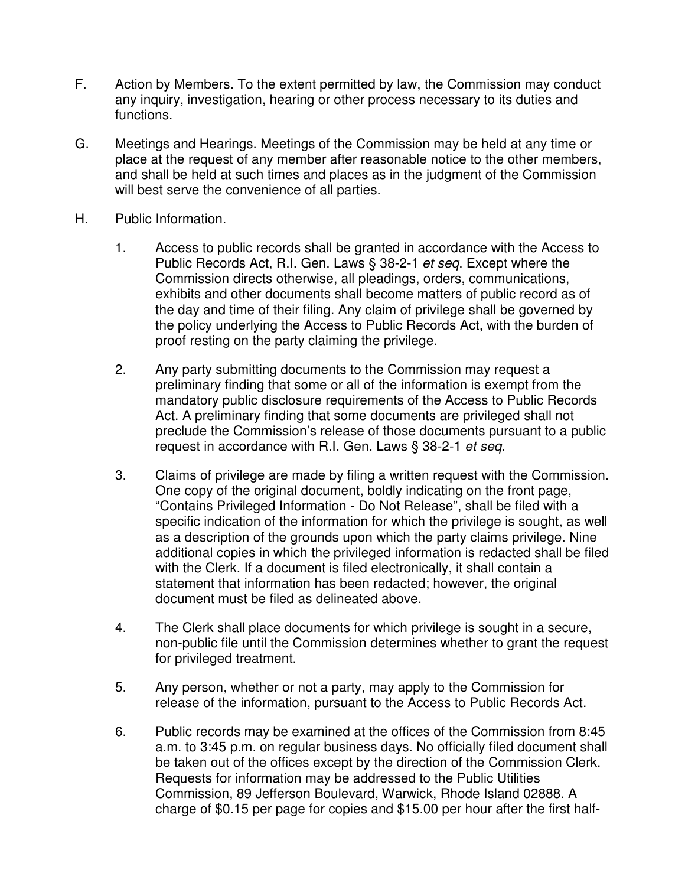- F. Action by Members. To the extent permitted by law, the Commission may conduct any inquiry, investigation, hearing or other process necessary to its duties and functions.
- G. Meetings and Hearings. Meetings of the Commission may be held at any time or place at the request of any member after reasonable notice to the other members, and shall be held at such times and places as in the judgment of the Commission will best serve the convenience of all parties.
- H. Public Information.
	- 1. Access to public records shall be granted in accordance with the Access to Public Records Act, R.I. Gen. Laws § 38-2-1 et seq. Except where the Commission directs otherwise, all pleadings, orders, communications, exhibits and other documents shall become matters of public record as of the day and time of their filing. Any claim of privilege shall be governed by the policy underlying the Access to Public Records Act, with the burden of proof resting on the party claiming the privilege.
	- 2. Any party submitting documents to the Commission may request a preliminary finding that some or all of the information is exempt from the mandatory public disclosure requirements of the Access to Public Records Act. A preliminary finding that some documents are privileged shall not preclude the Commission's release of those documents pursuant to a public request in accordance with R.I. Gen. Laws § 38-2-1 et seq.
	- 3. Claims of privilege are made by filing a written request with the Commission. One copy of the original document, boldly indicating on the front page, "Contains Privileged Information - Do Not Release", shall be filed with a specific indication of the information for which the privilege is sought, as well as a description of the grounds upon which the party claims privilege. Nine additional copies in which the privileged information is redacted shall be filed with the Clerk. If a document is filed electronically, it shall contain a statement that information has been redacted; however, the original document must be filed as delineated above.
	- 4. The Clerk shall place documents for which privilege is sought in a secure, non-public file until the Commission determines whether to grant the request for privileged treatment.
	- 5. Any person, whether or not a party, may apply to the Commission for release of the information, pursuant to the Access to Public Records Act.
	- 6. Public records may be examined at the offices of the Commission from 8:45 a.m. to 3:45 p.m. on regular business days. No officially filed document shall be taken out of the offices except by the direction of the Commission Clerk. Requests for information may be addressed to the Public Utilities Commission, 89 Jefferson Boulevard, Warwick, Rhode Island 02888. A charge of \$0.15 per page for copies and \$15.00 per hour after the first half-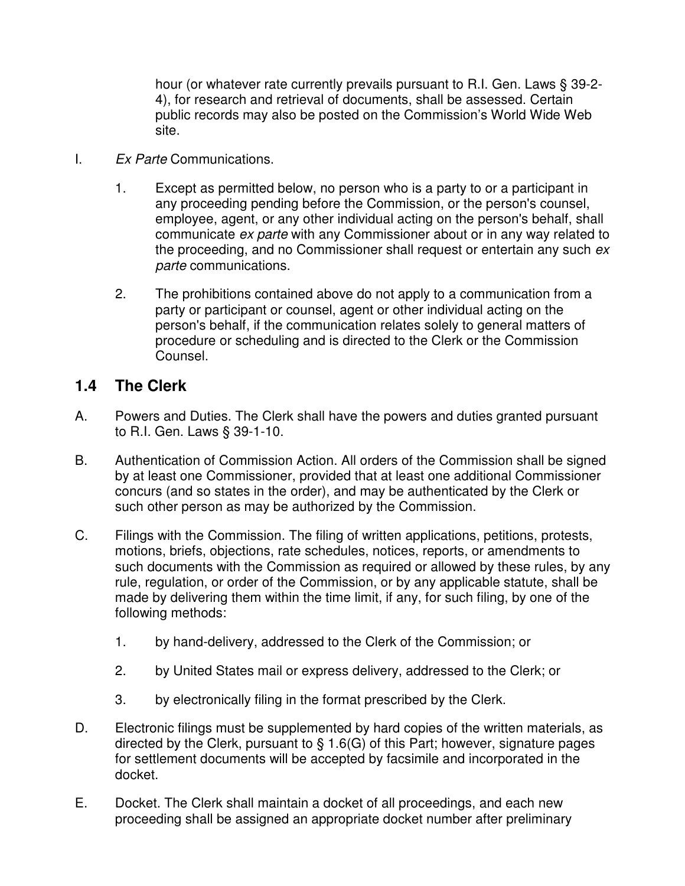hour (or whatever rate currently prevails pursuant to R.I. Gen. Laws § 39-2- 4), for research and retrieval of documents, shall be assessed. Certain public records may also be posted on the Commission's World Wide Web site.

- I. Ex Parte Communications.
	- 1. Except as permitted below, no person who is a party to or a participant in any proceeding pending before the Commission, or the person's counsel, employee, agent, or any other individual acting on the person's behalf, shall communicate ex parte with any Commissioner about or in any way related to the proceeding, and no Commissioner shall request or entertain any such ex parte communications.
	- 2. The prohibitions contained above do not apply to a communication from a party or participant or counsel, agent or other individual acting on the person's behalf, if the communication relates solely to general matters of procedure or scheduling and is directed to the Clerk or the Commission Counsel.

#### **1.4 The Clerk**

- A. Powers and Duties. The Clerk shall have the powers and duties granted pursuant to R.I. Gen. Laws § 39-1-10.
- B. Authentication of Commission Action. All orders of the Commission shall be signed by at least one Commissioner, provided that at least one additional Commissioner concurs (and so states in the order), and may be authenticated by the Clerk or such other person as may be authorized by the Commission.
- C. Filings with the Commission. The filing of written applications, petitions, protests, motions, briefs, objections, rate schedules, notices, reports, or amendments to such documents with the Commission as required or allowed by these rules, by any rule, regulation, or order of the Commission, or by any applicable statute, shall be made by delivering them within the time limit, if any, for such filing, by one of the following methods:
	- 1. by hand-delivery, addressed to the Clerk of the Commission; or
	- 2. by United States mail or express delivery, addressed to the Clerk; or
	- 3. by electronically filing in the format prescribed by the Clerk.
- D. Electronic filings must be supplemented by hard copies of the written materials, as directed by the Clerk, pursuant to § 1.6(G) of this Part; however, signature pages for settlement documents will be accepted by facsimile and incorporated in the docket.
- E. Docket. The Clerk shall maintain a docket of all proceedings, and each new proceeding shall be assigned an appropriate docket number after preliminary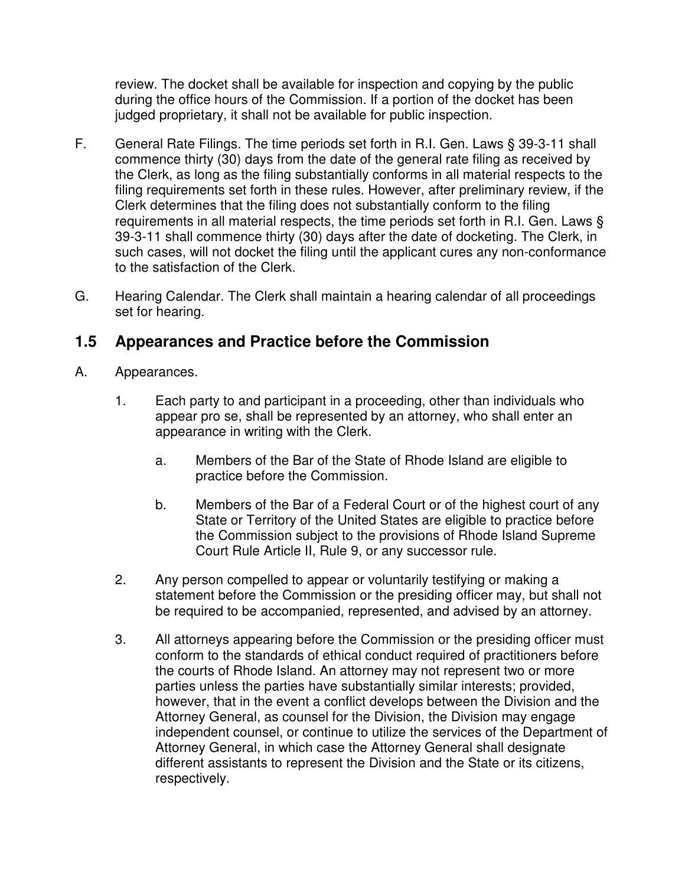review. The docket shall be available for inspection and copying by the public during the office hours of the Commission. If a portion of the docket has been judged proprietary, it shall not be available for public inspection.

- F. General Rate Filings. The time periods set forth in R.I. Gen. Laws § 39-3-11 shall commence thirty (30) days from the date of the general rate filing as received by the Clerk, as long as the filing substantially conforms in all material respects to the filing requirements set forth in these rules. However, after preliminary review, if the Clerk determines that the filing does not substantially conform to the filing requirements in all material respects, the time periods set forth in R.I. Gen. Laws § 39-3-11 shall commence thirty (30) days after the date of docketing. The Clerk, in such cases, will not docket the filing until the applicant cures any non-conformance to the satisfaction of the Clerk.
- G. Hearing Calendar. The Clerk shall maintain a hearing calendar of all proceedings set for hearing.

### **1.5 Appearances and Practice before the Commission**

- A. Appearances.
	- 1. Each party to and participant in a proceeding, other than individuals who appear pro se, shall be represented by an attorney, who shall enter an appearance in writing with the Clerk.
		- a. Members of the Bar of the State of Rhode Island are eligible to practice before the Commission.
		- b. Members of the Bar of a Federal Court or of the highest court of any State or Territory of the United States are eligible to practice before the Commission subject to the provisions of Rhode Island Supreme Court Rule Article II, Rule 9, or any successor rule.
	- 2. Any person compelled to appear or voluntarily testifying or making a statement before the Commission or the presiding officer may, but shall not be required to be accompanied, represented, and advised by an attorney.
	- 3. All attorneys appearing before the Commission or the presiding officer must conform to the standards of ethical conduct required of practitioners before the courts of Rhode Island. An attorney may not represent two or more parties unless the parties have substantially similar interests; provided, however, that in the event a conflict develops between the Division and the Attorney General, as counsel for the Division, the Division may engage independent counsel, or continue to utilize the services of the Department of Attorney General, in which case the Attorney General shall designate different assistants to represent the Division and the State or its citizens, respectively.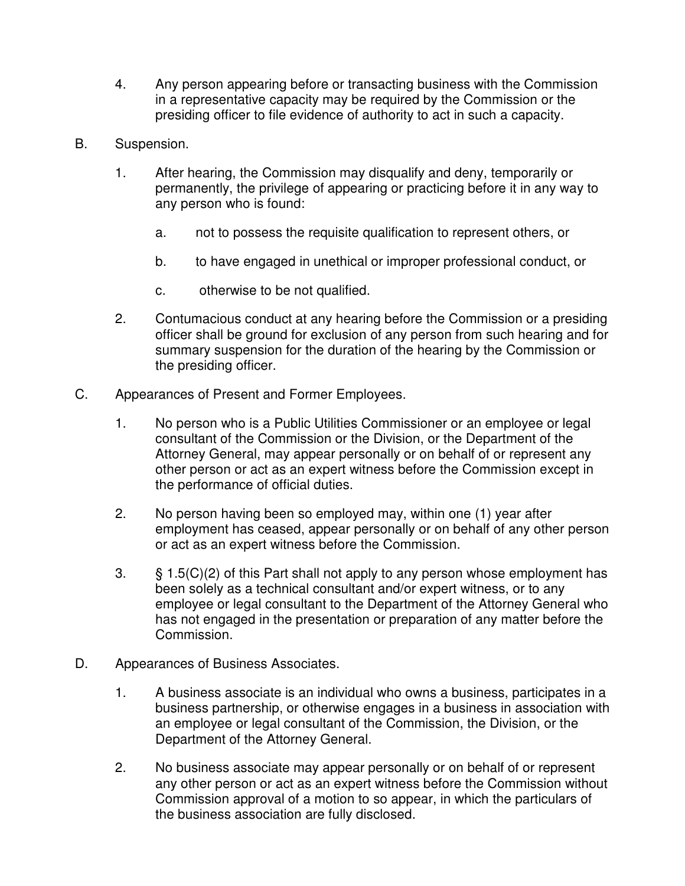- 4. Any person appearing before or transacting business with the Commission in a representative capacity may be required by the Commission or the presiding officer to file evidence of authority to act in such a capacity.
- B. Suspension.
	- 1. After hearing, the Commission may disqualify and deny, temporarily or permanently, the privilege of appearing or practicing before it in any way to any person who is found:
		- a. not to possess the requisite qualification to represent others, or
		- b. to have engaged in unethical or improper professional conduct, or
		- c. otherwise to be not qualified.
	- 2. Contumacious conduct at any hearing before the Commission or a presiding officer shall be ground for exclusion of any person from such hearing and for summary suspension for the duration of the hearing by the Commission or the presiding officer.
- C. Appearances of Present and Former Employees.
	- 1. No person who is a Public Utilities Commissioner or an employee or legal consultant of the Commission or the Division, or the Department of the Attorney General, may appear personally or on behalf of or represent any other person or act as an expert witness before the Commission except in the performance of official duties.
	- 2. No person having been so employed may, within one (1) year after employment has ceased, appear personally or on behalf of any other person or act as an expert witness before the Commission.
	- 3. § 1.5(C)(2) of this Part shall not apply to any person whose employment has been solely as a technical consultant and/or expert witness, or to any employee or legal consultant to the Department of the Attorney General who has not engaged in the presentation or preparation of any matter before the Commission.
- D. Appearances of Business Associates.
	- 1. A business associate is an individual who owns a business, participates in a business partnership, or otherwise engages in a business in association with an employee or legal consultant of the Commission, the Division, or the Department of the Attorney General.
	- 2. No business associate may appear personally or on behalf of or represent any other person or act as an expert witness before the Commission without Commission approval of a motion to so appear, in which the particulars of the business association are fully disclosed.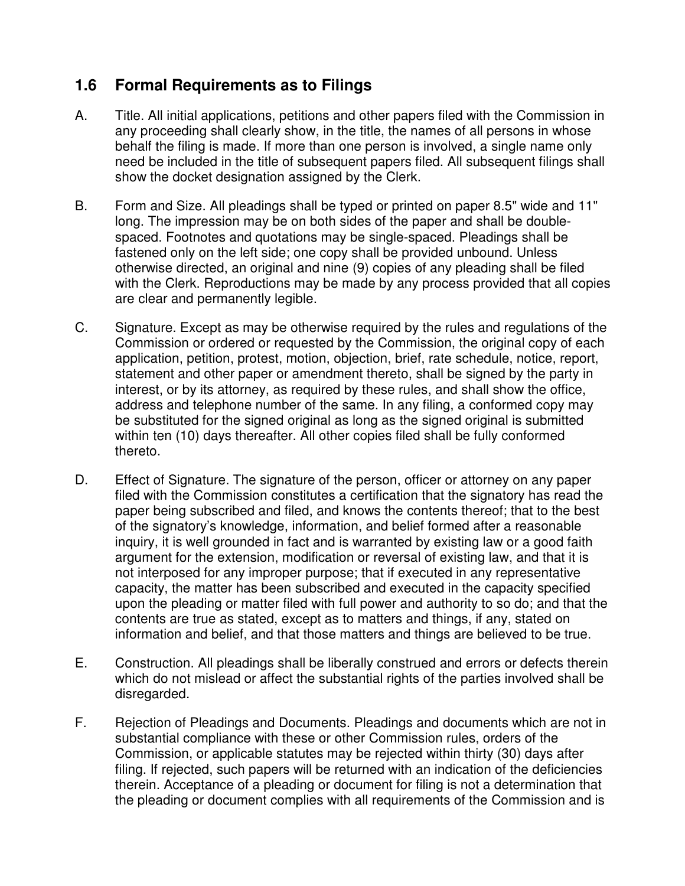## **1.6 Formal Requirements as to Filings**

- A. Title. All initial applications, petitions and other papers filed with the Commission in any proceeding shall clearly show, in the title, the names of all persons in whose behalf the filing is made. If more than one person is involved, a single name only need be included in the title of subsequent papers filed. All subsequent filings shall show the docket designation assigned by the Clerk.
- B. Form and Size. All pleadings shall be typed or printed on paper 8.5" wide and 11" long. The impression may be on both sides of the paper and shall be doublespaced. Footnotes and quotations may be single-spaced. Pleadings shall be fastened only on the left side; one copy shall be provided unbound. Unless otherwise directed, an original and nine (9) copies of any pleading shall be filed with the Clerk. Reproductions may be made by any process provided that all copies are clear and permanently legible.
- C. Signature. Except as may be otherwise required by the rules and regulations of the Commission or ordered or requested by the Commission, the original copy of each application, petition, protest, motion, objection, brief, rate schedule, notice, report, statement and other paper or amendment thereto, shall be signed by the party in interest, or by its attorney, as required by these rules, and shall show the office, address and telephone number of the same. In any filing, a conformed copy may be substituted for the signed original as long as the signed original is submitted within ten (10) days thereafter. All other copies filed shall be fully conformed thereto.
- D. Effect of Signature. The signature of the person, officer or attorney on any paper filed with the Commission constitutes a certification that the signatory has read the paper being subscribed and filed, and knows the contents thereof; that to the best of the signatory's knowledge, information, and belief formed after a reasonable inquiry, it is well grounded in fact and is warranted by existing law or a good faith argument for the extension, modification or reversal of existing law, and that it is not interposed for any improper purpose; that if executed in any representative capacity, the matter has been subscribed and executed in the capacity specified upon the pleading or matter filed with full power and authority to so do; and that the contents are true as stated, except as to matters and things, if any, stated on information and belief, and that those matters and things are believed to be true.
- E. Construction. All pleadings shall be liberally construed and errors or defects therein which do not mislead or affect the substantial rights of the parties involved shall be disregarded.
- F. Rejection of Pleadings and Documents. Pleadings and documents which are not in substantial compliance with these or other Commission rules, orders of the Commission, or applicable statutes may be rejected within thirty (30) days after filing. If rejected, such papers will be returned with an indication of the deficiencies therein. Acceptance of a pleading or document for filing is not a determination that the pleading or document complies with all requirements of the Commission and is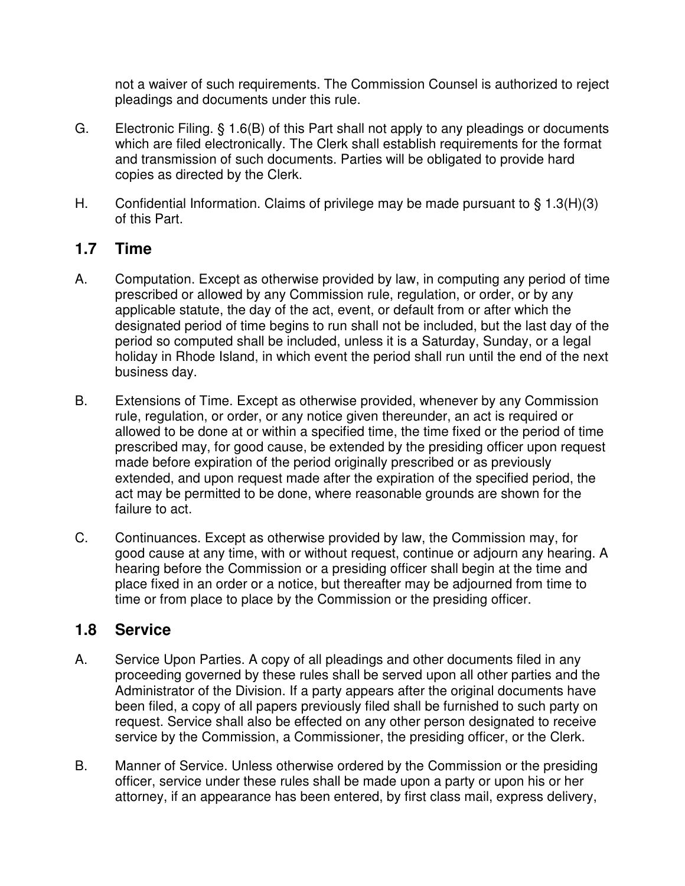not a waiver of such requirements. The Commission Counsel is authorized to reject pleadings and documents under this rule.

- G. Electronic Filing. § 1.6(B) of this Part shall not apply to any pleadings or documents which are filed electronically. The Clerk shall establish requirements for the format and transmission of such documents. Parties will be obligated to provide hard copies as directed by the Clerk.
- H. Confidential Information. Claims of privilege may be made pursuant to  $\S$  1.3(H)(3) of this Part.

#### **1.7 Time**

- A. Computation. Except as otherwise provided by law, in computing any period of time prescribed or allowed by any Commission rule, regulation, or order, or by any applicable statute, the day of the act, event, or default from or after which the designated period of time begins to run shall not be included, but the last day of the period so computed shall be included, unless it is a Saturday, Sunday, or a legal holiday in Rhode Island, in which event the period shall run until the end of the next business day.
- B. Extensions of Time. Except as otherwise provided, whenever by any Commission rule, regulation, or order, or any notice given thereunder, an act is required or allowed to be done at or within a specified time, the time fixed or the period of time prescribed may, for good cause, be extended by the presiding officer upon request made before expiration of the period originally prescribed or as previously extended, and upon request made after the expiration of the specified period, the act may be permitted to be done, where reasonable grounds are shown for the failure to act.
- C. Continuances. Except as otherwise provided by law, the Commission may, for good cause at any time, with or without request, continue or adjourn any hearing. A hearing before the Commission or a presiding officer shall begin at the time and place fixed in an order or a notice, but thereafter may be adjourned from time to time or from place to place by the Commission or the presiding officer.

#### **1.8 Service**

- A. Service Upon Parties. A copy of all pleadings and other documents filed in any proceeding governed by these rules shall be served upon all other parties and the Administrator of the Division. If a party appears after the original documents have been filed, a copy of all papers previously filed shall be furnished to such party on request. Service shall also be effected on any other person designated to receive service by the Commission, a Commissioner, the presiding officer, or the Clerk.
- B. Manner of Service. Unless otherwise ordered by the Commission or the presiding officer, service under these rules shall be made upon a party or upon his or her attorney, if an appearance has been entered, by first class mail, express delivery,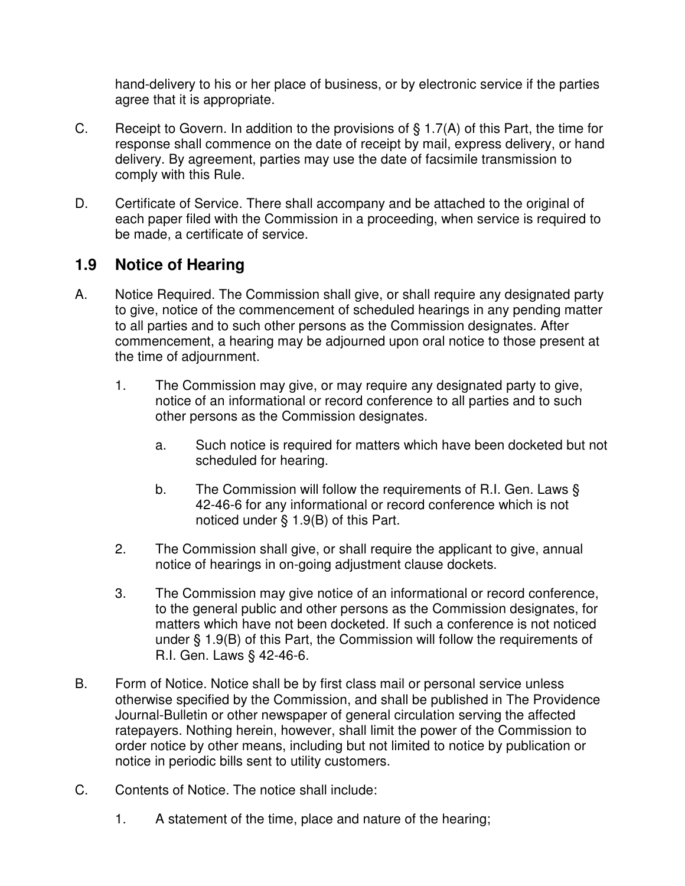hand-delivery to his or her place of business, or by electronic service if the parties agree that it is appropriate.

- C. Receipt to Govern. In addition to the provisions of § 1.7(A) of this Part, the time for response shall commence on the date of receipt by mail, express delivery, or hand delivery. By agreement, parties may use the date of facsimile transmission to comply with this Rule.
- D. Certificate of Service. There shall accompany and be attached to the original of each paper filed with the Commission in a proceeding, when service is required to be made, a certificate of service.

#### **1.9 Notice of Hearing**

- A. Notice Required. The Commission shall give, or shall require any designated party to give, notice of the commencement of scheduled hearings in any pending matter to all parties and to such other persons as the Commission designates. After commencement, a hearing may be adjourned upon oral notice to those present at the time of adjournment.
	- 1. The Commission may give, or may require any designated party to give, notice of an informational or record conference to all parties and to such other persons as the Commission designates.
		- a. Such notice is required for matters which have been docketed but not scheduled for hearing.
		- b. The Commission will follow the requirements of R.I. Gen. Laws § 42-46-6 for any informational or record conference which is not noticed under § 1.9(B) of this Part.
	- 2. The Commission shall give, or shall require the applicant to give, annual notice of hearings in on-going adjustment clause dockets.
	- 3. The Commission may give notice of an informational or record conference, to the general public and other persons as the Commission designates, for matters which have not been docketed. If such a conference is not noticed under § 1.9(B) of this Part, the Commission will follow the requirements of R.I. Gen. Laws § 42-46-6.
- B. Form of Notice. Notice shall be by first class mail or personal service unless otherwise specified by the Commission, and shall be published in The Providence Journal-Bulletin or other newspaper of general circulation serving the affected ratepayers. Nothing herein, however, shall limit the power of the Commission to order notice by other means, including but not limited to notice by publication or notice in periodic bills sent to utility customers.
- C. Contents of Notice. The notice shall include:
	- 1. A statement of the time, place and nature of the hearing;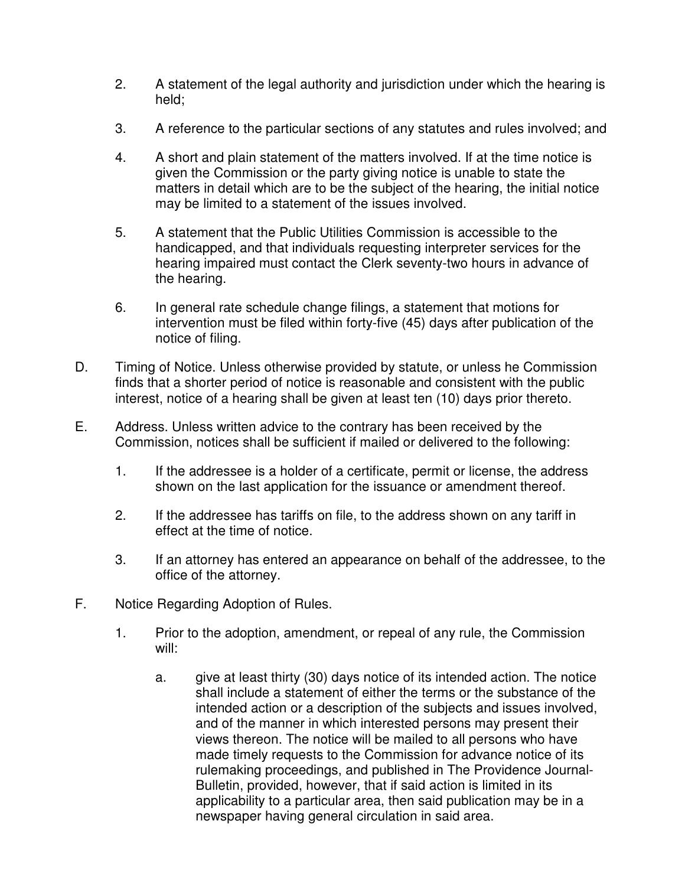- 2. A statement of the legal authority and jurisdiction under which the hearing is held;
- 3. A reference to the particular sections of any statutes and rules involved; and
- 4. A short and plain statement of the matters involved. If at the time notice is given the Commission or the party giving notice is unable to state the matters in detail which are to be the subject of the hearing, the initial notice may be limited to a statement of the issues involved.
- 5. A statement that the Public Utilities Commission is accessible to the handicapped, and that individuals requesting interpreter services for the hearing impaired must contact the Clerk seventy-two hours in advance of the hearing.
- 6. In general rate schedule change filings, a statement that motions for intervention must be filed within forty-five (45) days after publication of the notice of filing.
- D. Timing of Notice. Unless otherwise provided by statute, or unless he Commission finds that a shorter period of notice is reasonable and consistent with the public interest, notice of a hearing shall be given at least ten (10) days prior thereto.
- E. Address. Unless written advice to the contrary has been received by the Commission, notices shall be sufficient if mailed or delivered to the following:
	- 1. If the addressee is a holder of a certificate, permit or license, the address shown on the last application for the issuance or amendment thereof.
	- 2. If the addressee has tariffs on file, to the address shown on any tariff in effect at the time of notice.
	- 3. If an attorney has entered an appearance on behalf of the addressee, to the office of the attorney.
- F. Notice Regarding Adoption of Rules.
	- 1. Prior to the adoption, amendment, or repeal of any rule, the Commission will:
		- a. give at least thirty (30) days notice of its intended action. The notice shall include a statement of either the terms or the substance of the intended action or a description of the subjects and issues involved, and of the manner in which interested persons may present their views thereon. The notice will be mailed to all persons who have made timely requests to the Commission for advance notice of its rulemaking proceedings, and published in The Providence Journal-Bulletin, provided, however, that if said action is limited in its applicability to a particular area, then said publication may be in a newspaper having general circulation in said area.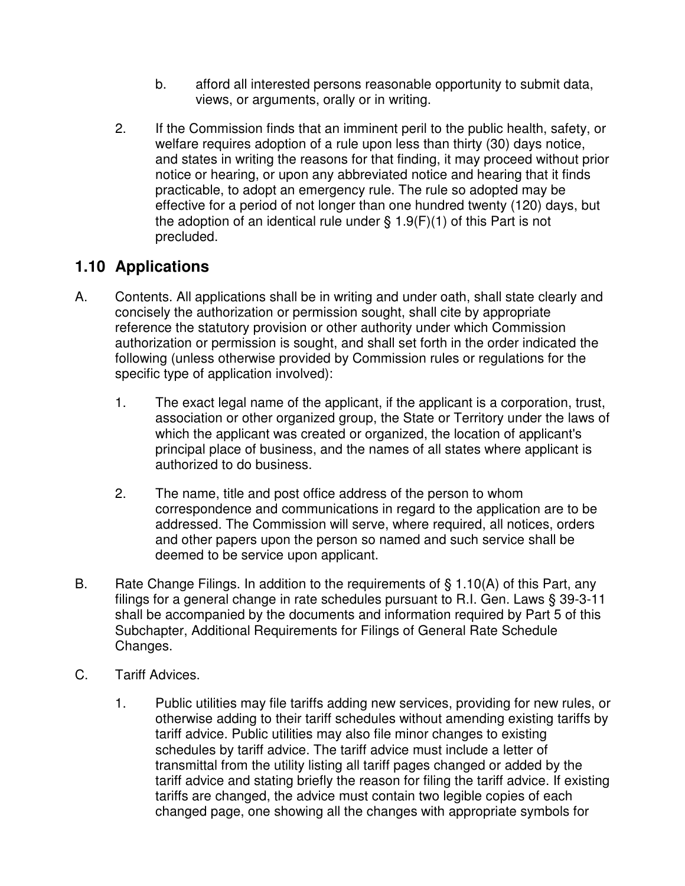- b. afford all interested persons reasonable opportunity to submit data, views, or arguments, orally or in writing.
- 2. If the Commission finds that an imminent peril to the public health, safety, or welfare requires adoption of a rule upon less than thirty (30) days notice, and states in writing the reasons for that finding, it may proceed without prior notice or hearing, or upon any abbreviated notice and hearing that it finds practicable, to adopt an emergency rule. The rule so adopted may be effective for a period of not longer than one hundred twenty (120) days, but the adoption of an identical rule under  $\S 1.9(F)(1)$  of this Part is not precluded.

## **1.10 Applications**

- A. Contents. All applications shall be in writing and under oath, shall state clearly and concisely the authorization or permission sought, shall cite by appropriate reference the statutory provision or other authority under which Commission authorization or permission is sought, and shall set forth in the order indicated the following (unless otherwise provided by Commission rules or regulations for the specific type of application involved):
	- 1. The exact legal name of the applicant, if the applicant is a corporation, trust, association or other organized group, the State or Territory under the laws of which the applicant was created or organized, the location of applicant's principal place of business, and the names of all states where applicant is authorized to do business.
	- 2. The name, title and post office address of the person to whom correspondence and communications in regard to the application are to be addressed. The Commission will serve, where required, all notices, orders and other papers upon the person so named and such service shall be deemed to be service upon applicant.
- B. Rate Change Filings. In addition to the requirements of  $\S 1.10(A)$  of this Part, any filings for a general change in rate schedules pursuant to R.I. Gen. Laws § 39-3-11 shall be accompanied by the documents and information required by Part 5 of this Subchapter, Additional Requirements for Filings of General Rate Schedule Changes.
- C. Tariff Advices.
	- 1. Public utilities may file tariffs adding new services, providing for new rules, or otherwise adding to their tariff schedules without amending existing tariffs by tariff advice. Public utilities may also file minor changes to existing schedules by tariff advice. The tariff advice must include a letter of transmittal from the utility listing all tariff pages changed or added by the tariff advice and stating briefly the reason for filing the tariff advice. If existing tariffs are changed, the advice must contain two legible copies of each changed page, one showing all the changes with appropriate symbols for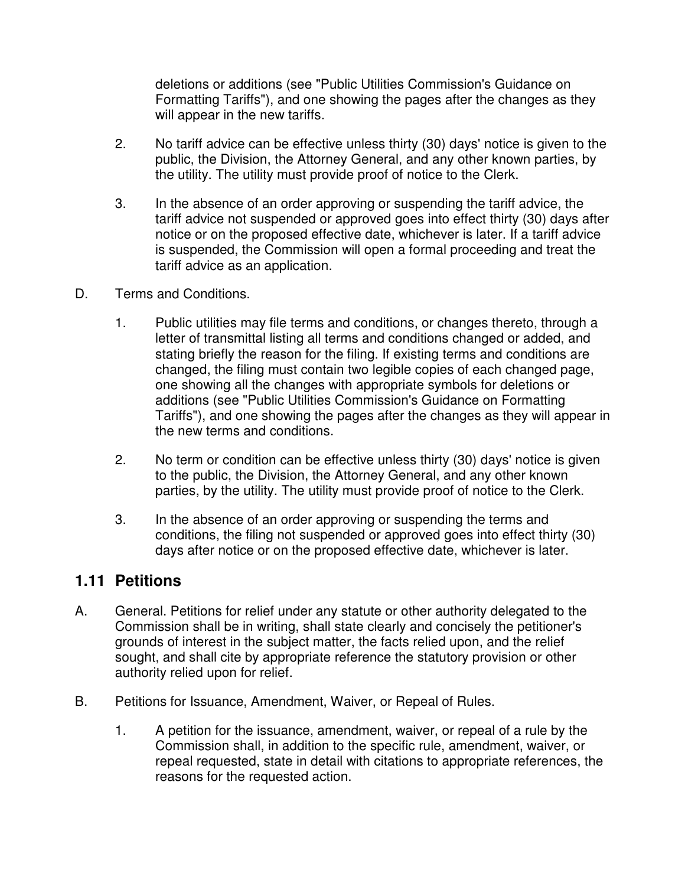deletions or additions (see "Public Utilities Commission's Guidance on Formatting Tariffs"), and one showing the pages after the changes as they will appear in the new tariffs.

- 2. No tariff advice can be effective unless thirty (30) days' notice is given to the public, the Division, the Attorney General, and any other known parties, by the utility. The utility must provide proof of notice to the Clerk.
- 3. In the absence of an order approving or suspending the tariff advice, the tariff advice not suspended or approved goes into effect thirty (30) days after notice or on the proposed effective date, whichever is later. If a tariff advice is suspended, the Commission will open a formal proceeding and treat the tariff advice as an application.
- D. Terms and Conditions.
	- 1. Public utilities may file terms and conditions, or changes thereto, through a letter of transmittal listing all terms and conditions changed or added, and stating briefly the reason for the filing. If existing terms and conditions are changed, the filing must contain two legible copies of each changed page, one showing all the changes with appropriate symbols for deletions or additions (see "Public Utilities Commission's Guidance on Formatting Tariffs"), and one showing the pages after the changes as they will appear in the new terms and conditions.
	- 2. No term or condition can be effective unless thirty (30) days' notice is given to the public, the Division, the Attorney General, and any other known parties, by the utility. The utility must provide proof of notice to the Clerk.
	- 3. In the absence of an order approving or suspending the terms and conditions, the filing not suspended or approved goes into effect thirty (30) days after notice or on the proposed effective date, whichever is later.

#### **1.11 Petitions**

- A. General. Petitions for relief under any statute or other authority delegated to the Commission shall be in writing, shall state clearly and concisely the petitioner's grounds of interest in the subject matter, the facts relied upon, and the relief sought, and shall cite by appropriate reference the statutory provision or other authority relied upon for relief.
- B. Petitions for Issuance, Amendment, Waiver, or Repeal of Rules.
	- 1. A petition for the issuance, amendment, waiver, or repeal of a rule by the Commission shall, in addition to the specific rule, amendment, waiver, or repeal requested, state in detail with citations to appropriate references, the reasons for the requested action.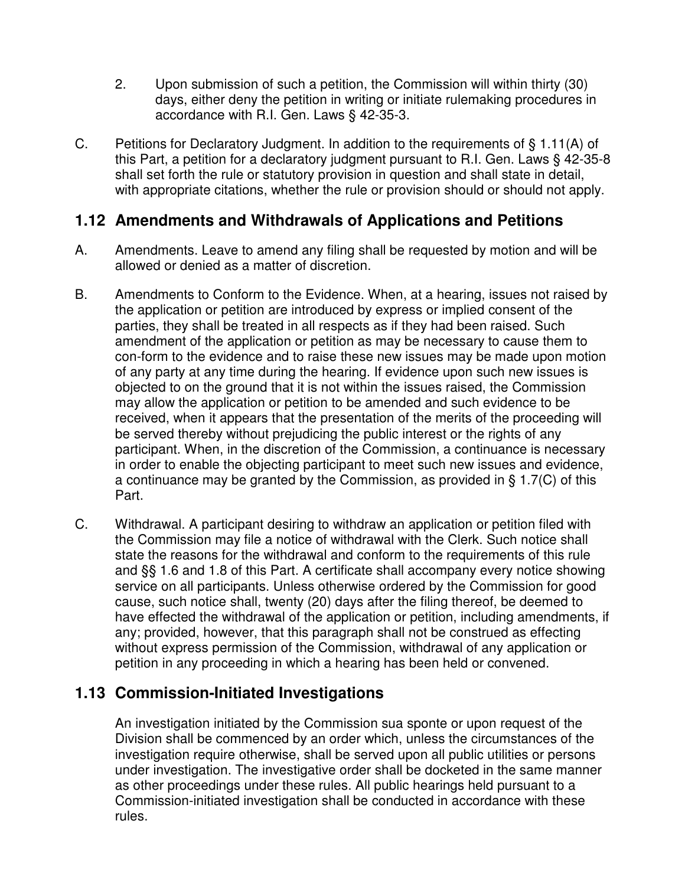- 2. Upon submission of such a petition, the Commission will within thirty (30) days, either deny the petition in writing or initiate rulemaking procedures in accordance with R.I. Gen. Laws § 42-35-3.
- C. Petitions for Declaratory Judgment. In addition to the requirements of § 1.11(A) of this Part, a petition for a declaratory judgment pursuant to R.I. Gen. Laws § 42-35-8 shall set forth the rule or statutory provision in question and shall state in detail, with appropriate citations, whether the rule or provision should or should not apply.

### **1.12 Amendments and Withdrawals of Applications and Petitions**

- A. Amendments. Leave to amend any filing shall be requested by motion and will be allowed or denied as a matter of discretion.
- B. Amendments to Conform to the Evidence. When, at a hearing, issues not raised by the application or petition are introduced by express or implied consent of the parties, they shall be treated in all respects as if they had been raised. Such amendment of the application or petition as may be necessary to cause them to con-form to the evidence and to raise these new issues may be made upon motion of any party at any time during the hearing. If evidence upon such new issues is objected to on the ground that it is not within the issues raised, the Commission may allow the application or petition to be amended and such evidence to be received, when it appears that the presentation of the merits of the proceeding will be served thereby without prejudicing the public interest or the rights of any participant. When, in the discretion of the Commission, a continuance is necessary in order to enable the objecting participant to meet such new issues and evidence, a continuance may be granted by the Commission, as provided in § 1.7(C) of this Part.
- C. Withdrawal. A participant desiring to withdraw an application or petition filed with the Commission may file a notice of withdrawal with the Clerk. Such notice shall state the reasons for the withdrawal and conform to the requirements of this rule and §§ 1.6 and 1.8 of this Part. A certificate shall accompany every notice showing service on all participants. Unless otherwise ordered by the Commission for good cause, such notice shall, twenty (20) days after the filing thereof, be deemed to have effected the withdrawal of the application or petition, including amendments, if any; provided, however, that this paragraph shall not be construed as effecting without express permission of the Commission, withdrawal of any application or petition in any proceeding in which a hearing has been held or convened.

## **1.13 Commission-Initiated Investigations**

 An investigation initiated by the Commission sua sponte or upon request of the Division shall be commenced by an order which, unless the circumstances of the investigation require otherwise, shall be served upon all public utilities or persons under investigation. The investigative order shall be docketed in the same manner as other proceedings under these rules. All public hearings held pursuant to a Commission-initiated investigation shall be conducted in accordance with these rules.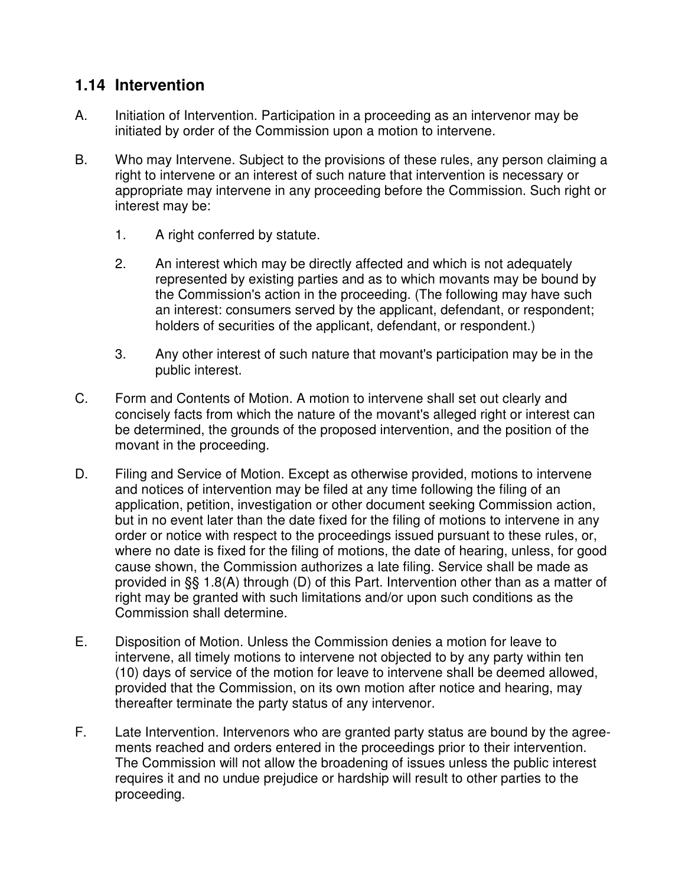## **1.14 Intervention**

- A. Initiation of Intervention. Participation in a proceeding as an intervenor may be initiated by order of the Commission upon a motion to intervene.
- B. Who may Intervene. Subject to the provisions of these rules, any person claiming a right to intervene or an interest of such nature that intervention is necessary or appropriate may intervene in any proceeding before the Commission. Such right or interest may be:
	- 1. A right conferred by statute.
	- 2. An interest which may be directly affected and which is not adequately represented by existing parties and as to which movants may be bound by the Commission's action in the proceeding. (The following may have such an interest: consumers served by the applicant, defendant, or respondent; holders of securities of the applicant, defendant, or respondent.)
	- 3. Any other interest of such nature that movant's participation may be in the public interest.
- C. Form and Contents of Motion. A motion to intervene shall set out clearly and concisely facts from which the nature of the movant's alleged right or interest can be determined, the grounds of the proposed intervention, and the position of the movant in the proceeding.
- D. Filing and Service of Motion. Except as otherwise provided, motions to intervene and notices of intervention may be filed at any time following the filing of an application, petition, investigation or other document seeking Commission action, but in no event later than the date fixed for the filing of motions to intervene in any order or notice with respect to the proceedings issued pursuant to these rules, or, where no date is fixed for the filing of motions, the date of hearing, unless, for good cause shown, the Commission authorizes a late filing. Service shall be made as provided in §§ 1.8(A) through (D) of this Part. Intervention other than as a matter of right may be granted with such limitations and/or upon such conditions as the Commission shall determine.
- E. Disposition of Motion. Unless the Commission denies a motion for leave to intervene, all timely motions to intervene not objected to by any party within ten (10) days of service of the motion for leave to intervene shall be deemed allowed, provided that the Commission, on its own motion after notice and hearing, may thereafter terminate the party status of any intervenor.
- F. Late Intervention. Intervenors who are granted party status are bound by the agreements reached and orders entered in the proceedings prior to their intervention. The Commission will not allow the broadening of issues unless the public interest requires it and no undue prejudice or hardship will result to other parties to the proceeding.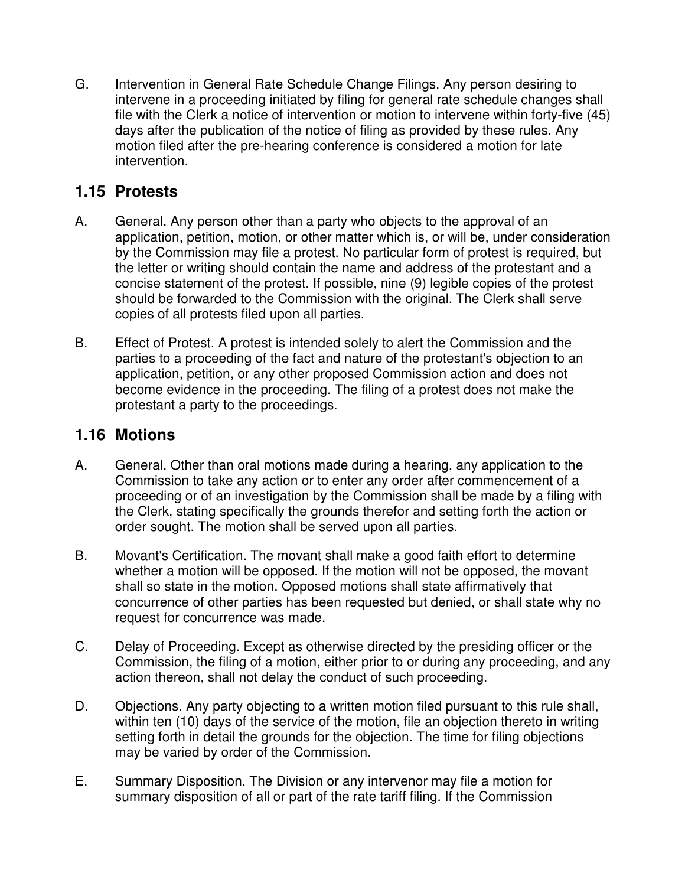G. Intervention in General Rate Schedule Change Filings. Any person desiring to intervene in a proceeding initiated by filing for general rate schedule changes shall file with the Clerk a notice of intervention or motion to intervene within forty-five (45) days after the publication of the notice of filing as provided by these rules. Any motion filed after the pre-hearing conference is considered a motion for late intervention.

## **1.15 Protests**

- A. General. Any person other than a party who objects to the approval of an application, petition, motion, or other matter which is, or will be, under consideration by the Commission may file a protest. No particular form of protest is required, but the letter or writing should contain the name and address of the protestant and a concise statement of the protest. If possible, nine (9) legible copies of the protest should be forwarded to the Commission with the original. The Clerk shall serve copies of all protests filed upon all parties.
- B. Effect of Protest. A protest is intended solely to alert the Commission and the parties to a proceeding of the fact and nature of the protestant's objection to an application, petition, or any other proposed Commission action and does not become evidence in the proceeding. The filing of a protest does not make the protestant a party to the proceedings.

### **1.16 Motions**

- A. General. Other than oral motions made during a hearing, any application to the Commission to take any action or to enter any order after commencement of a proceeding or of an investigation by the Commission shall be made by a filing with the Clerk, stating specifically the grounds therefor and setting forth the action or order sought. The motion shall be served upon all parties.
- B. Movant's Certification. The movant shall make a good faith effort to determine whether a motion will be opposed. If the motion will not be opposed, the movant shall so state in the motion. Opposed motions shall state affirmatively that concurrence of other parties has been requested but denied, or shall state why no request for concurrence was made.
- C. Delay of Proceeding. Except as otherwise directed by the presiding officer or the Commission, the filing of a motion, either prior to or during any proceeding, and any action thereon, shall not delay the conduct of such proceeding.
- D. Objections. Any party objecting to a written motion filed pursuant to this rule shall, within ten (10) days of the service of the motion, file an objection thereto in writing setting forth in detail the grounds for the objection. The time for filing objections may be varied by order of the Commission.
- E. Summary Disposition. The Division or any intervenor may file a motion for summary disposition of all or part of the rate tariff filing. If the Commission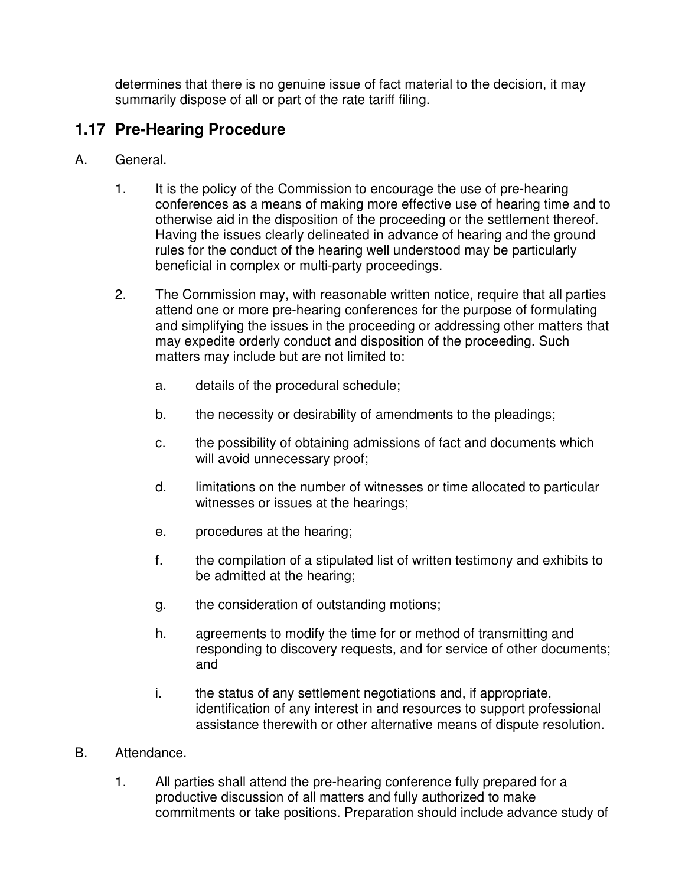determines that there is no genuine issue of fact material to the decision, it may summarily dispose of all or part of the rate tariff filing.

# **1.17 Pre-Hearing Procedure**

- A. General.
	- 1. It is the policy of the Commission to encourage the use of pre-hearing conferences as a means of making more effective use of hearing time and to otherwise aid in the disposition of the proceeding or the settlement thereof. Having the issues clearly delineated in advance of hearing and the ground rules for the conduct of the hearing well understood may be particularly beneficial in complex or multi-party proceedings.
	- 2. The Commission may, with reasonable written notice, require that all parties attend one or more pre-hearing conferences for the purpose of formulating and simplifying the issues in the proceeding or addressing other matters that may expedite orderly conduct and disposition of the proceeding. Such matters may include but are not limited to:
		- a. details of the procedural schedule;
		- b. the necessity or desirability of amendments to the pleadings;
		- c. the possibility of obtaining admissions of fact and documents which will avoid unnecessary proof;
		- d. limitations on the number of witnesses or time allocated to particular witnesses or issues at the hearings;
		- e. procedures at the hearing;
		- f. the compilation of a stipulated list of written testimony and exhibits to be admitted at the hearing;
		- g. the consideration of outstanding motions;
		- h. agreements to modify the time for or method of transmitting and responding to discovery requests, and for service of other documents; and
		- i. the status of any settlement negotiations and, if appropriate, identification of any interest in and resources to support professional assistance therewith or other alternative means of dispute resolution.
- B. Attendance.
	- 1. All parties shall attend the pre-hearing conference fully prepared for a productive discussion of all matters and fully authorized to make commitments or take positions. Preparation should include advance study of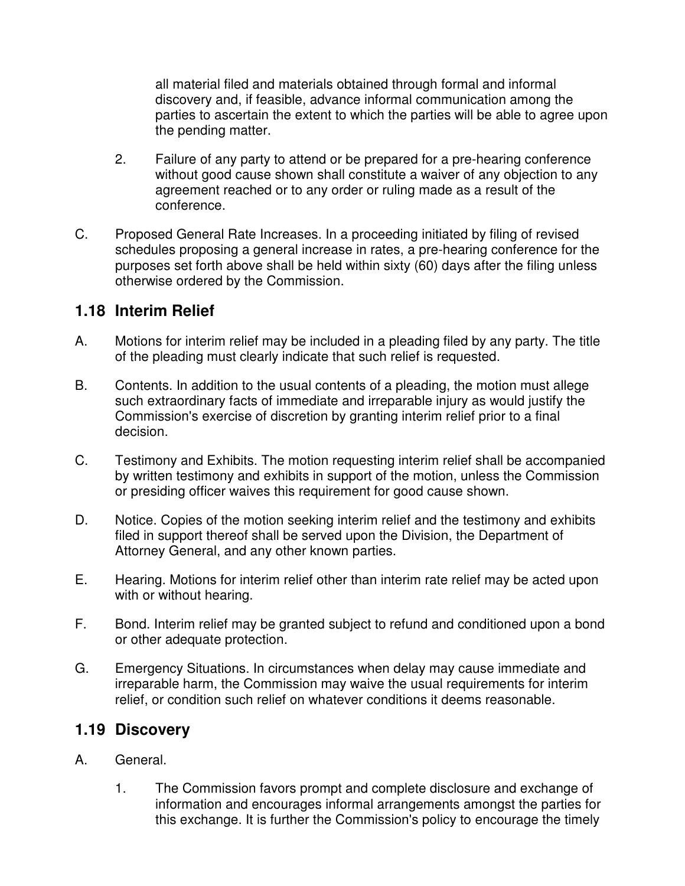all material filed and materials obtained through formal and informal discovery and, if feasible, advance informal communication among the parties to ascertain the extent to which the parties will be able to agree upon the pending matter.

- 2. Failure of any party to attend or be prepared for a pre-hearing conference without good cause shown shall constitute a waiver of any objection to any agreement reached or to any order or ruling made as a result of the conference.
- C. Proposed General Rate Increases. In a proceeding initiated by filing of revised schedules proposing a general increase in rates, a pre-hearing conference for the purposes set forth above shall be held within sixty (60) days after the filing unless otherwise ordered by the Commission.

#### **1.18 Interim Relief**

- A. Motions for interim relief may be included in a pleading filed by any party. The title of the pleading must clearly indicate that such relief is requested.
- B. Contents. In addition to the usual contents of a pleading, the motion must allege such extraordinary facts of immediate and irreparable injury as would justify the Commission's exercise of discretion by granting interim relief prior to a final decision.
- C. Testimony and Exhibits. The motion requesting interim relief shall be accompanied by written testimony and exhibits in support of the motion, unless the Commission or presiding officer waives this requirement for good cause shown.
- D. Notice. Copies of the motion seeking interim relief and the testimony and exhibits filed in support thereof shall be served upon the Division, the Department of Attorney General, and any other known parties.
- E. Hearing. Motions for interim relief other than interim rate relief may be acted upon with or without hearing.
- F. Bond. Interim relief may be granted subject to refund and conditioned upon a bond or other adequate protection.
- G. Emergency Situations. In circumstances when delay may cause immediate and irreparable harm, the Commission may waive the usual requirements for interim relief, or condition such relief on whatever conditions it deems reasonable.

#### **1.19 Discovery**

- A. General.
	- 1. The Commission favors prompt and complete disclosure and exchange of information and encourages informal arrangements amongst the parties for this exchange. It is further the Commission's policy to encourage the timely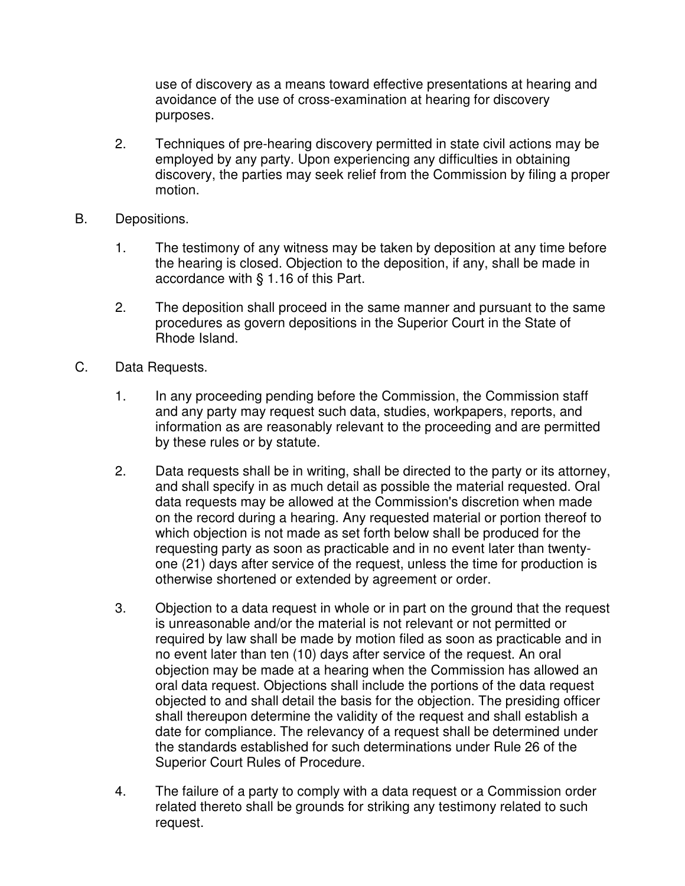use of discovery as a means toward effective presentations at hearing and avoidance of the use of cross-examination at hearing for discovery purposes.

- 2. Techniques of pre-hearing discovery permitted in state civil actions may be employed by any party. Upon experiencing any difficulties in obtaining discovery, the parties may seek relief from the Commission by filing a proper motion.
- B. Depositions.
	- 1. The testimony of any witness may be taken by deposition at any time before the hearing is closed. Objection to the deposition, if any, shall be made in accordance with § 1.16 of this Part.
	- 2. The deposition shall proceed in the same manner and pursuant to the same procedures as govern depositions in the Superior Court in the State of Rhode Island.
- C. Data Requests.
	- 1. In any proceeding pending before the Commission, the Commission staff and any party may request such data, studies, workpapers, reports, and information as are reasonably relevant to the proceeding and are permitted by these rules or by statute.
	- 2. Data requests shall be in writing, shall be directed to the party or its attorney, and shall specify in as much detail as possible the material requested. Oral data requests may be allowed at the Commission's discretion when made on the record during a hearing. Any requested material or portion thereof to which objection is not made as set forth below shall be produced for the requesting party as soon as practicable and in no event later than twentyone (21) days after service of the request, unless the time for production is otherwise shortened or extended by agreement or order.
	- 3. Objection to a data request in whole or in part on the ground that the request is unreasonable and/or the material is not relevant or not permitted or required by law shall be made by motion filed as soon as practicable and in no event later than ten (10) days after service of the request. An oral objection may be made at a hearing when the Commission has allowed an oral data request. Objections shall include the portions of the data request objected to and shall detail the basis for the objection. The presiding officer shall thereupon determine the validity of the request and shall establish a date for compliance. The relevancy of a request shall be determined under the standards established for such determinations under Rule 26 of the Superior Court Rules of Procedure.
	- 4. The failure of a party to comply with a data request or a Commission order related thereto shall be grounds for striking any testimony related to such request.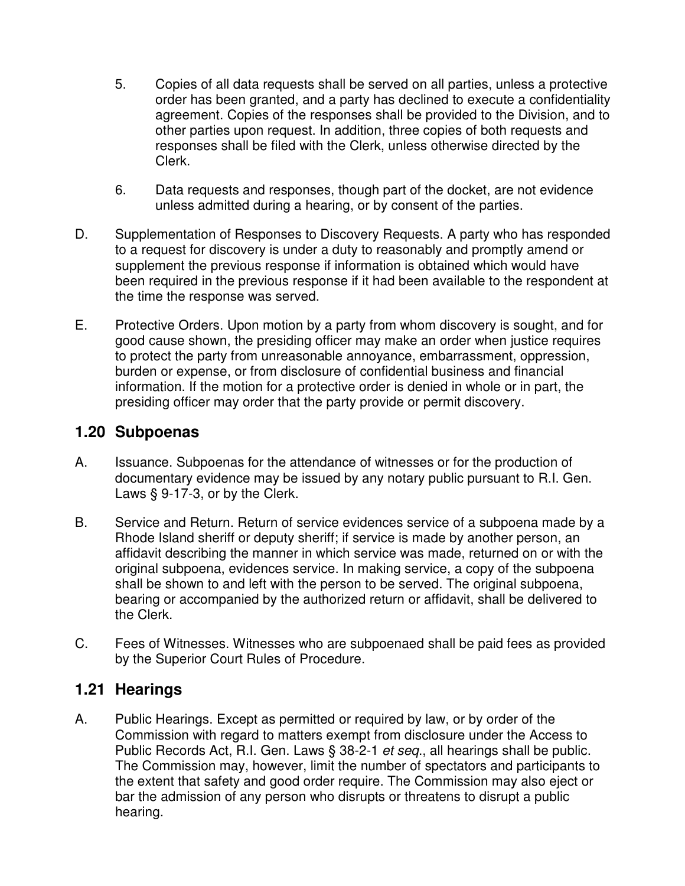- 5. Copies of all data requests shall be served on all parties, unless a protective order has been granted, and a party has declined to execute a confidentiality agreement. Copies of the responses shall be provided to the Division, and to other parties upon request. In addition, three copies of both requests and responses shall be filed with the Clerk, unless otherwise directed by the Clerk.
- 6. Data requests and responses, though part of the docket, are not evidence unless admitted during a hearing, or by consent of the parties.
- D. Supplementation of Responses to Discovery Requests. A party who has responded to a request for discovery is under a duty to reasonably and promptly amend or supplement the previous response if information is obtained which would have been required in the previous response if it had been available to the respondent at the time the response was served.
- E. Protective Orders. Upon motion by a party from whom discovery is sought, and for good cause shown, the presiding officer may make an order when justice requires to protect the party from unreasonable annoyance, embarrassment, oppression, burden or expense, or from disclosure of confidential business and financial information. If the motion for a protective order is denied in whole or in part, the presiding officer may order that the party provide or permit discovery.

#### **1.20 Subpoenas**

- A. Issuance. Subpoenas for the attendance of witnesses or for the production of documentary evidence may be issued by any notary public pursuant to R.I. Gen. Laws § 9-17-3, or by the Clerk.
- B. Service and Return. Return of service evidences service of a subpoena made by a Rhode Island sheriff or deputy sheriff; if service is made by another person, an affidavit describing the manner in which service was made, returned on or with the original subpoena, evidences service. In making service, a copy of the subpoena shall be shown to and left with the person to be served. The original subpoena, bearing or accompanied by the authorized return or affidavit, shall be delivered to the Clerk.
- C. Fees of Witnesses. Witnesses who are subpoenaed shall be paid fees as provided by the Superior Court Rules of Procedure.

#### **1.21 Hearings**

A. Public Hearings. Except as permitted or required by law, or by order of the Commission with regard to matters exempt from disclosure under the Access to Public Records Act, R.I. Gen. Laws § 38-2-1 et seq., all hearings shall be public. The Commission may, however, limit the number of spectators and participants to the extent that safety and good order require. The Commission may also eject or bar the admission of any person who disrupts or threatens to disrupt a public hearing.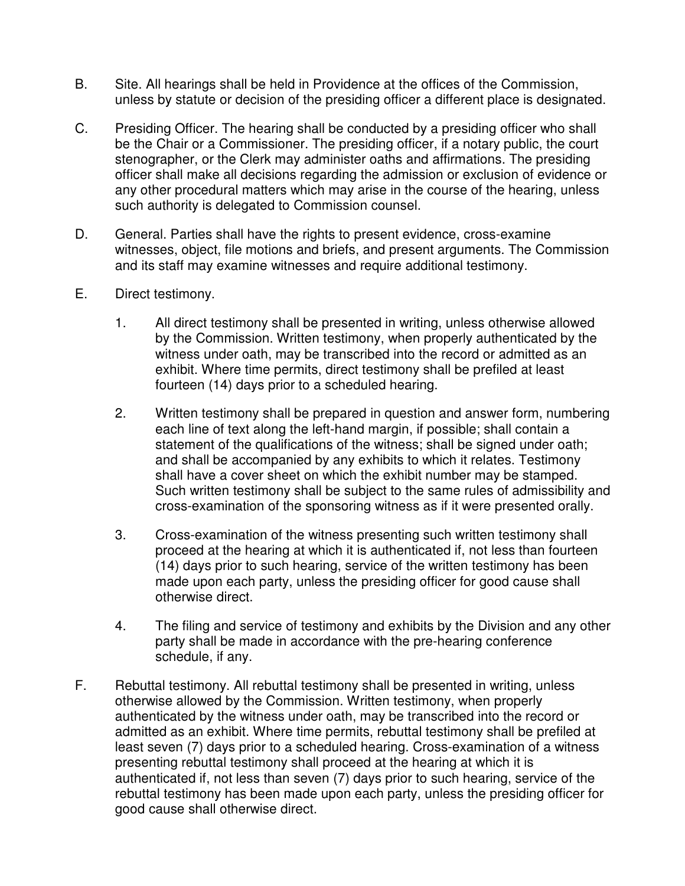- B. Site. All hearings shall be held in Providence at the offices of the Commission, unless by statute or decision of the presiding officer a different place is designated.
- C. Presiding Officer. The hearing shall be conducted by a presiding officer who shall be the Chair or a Commissioner. The presiding officer, if a notary public, the court stenographer, or the Clerk may administer oaths and affirmations. The presiding officer shall make all decisions regarding the admission or exclusion of evidence or any other procedural matters which may arise in the course of the hearing, unless such authority is delegated to Commission counsel.
- D. General. Parties shall have the rights to present evidence, cross-examine witnesses, object, file motions and briefs, and present arguments. The Commission and its staff may examine witnesses and require additional testimony.
- E. Direct testimony.
	- 1. All direct testimony shall be presented in writing, unless otherwise allowed by the Commission. Written testimony, when properly authenticated by the witness under oath, may be transcribed into the record or admitted as an exhibit. Where time permits, direct testimony shall be prefiled at least fourteen (14) days prior to a scheduled hearing.
	- 2. Written testimony shall be prepared in question and answer form, numbering each line of text along the left-hand margin, if possible; shall contain a statement of the qualifications of the witness; shall be signed under oath; and shall be accompanied by any exhibits to which it relates. Testimony shall have a cover sheet on which the exhibit number may be stamped. Such written testimony shall be subject to the same rules of admissibility and cross-examination of the sponsoring witness as if it were presented orally.
	- 3. Cross-examination of the witness presenting such written testimony shall proceed at the hearing at which it is authenticated if, not less than fourteen (14) days prior to such hearing, service of the written testimony has been made upon each party, unless the presiding officer for good cause shall otherwise direct.
	- 4. The filing and service of testimony and exhibits by the Division and any other party shall be made in accordance with the pre-hearing conference schedule, if any.
- F. Rebuttal testimony. All rebuttal testimony shall be presented in writing, unless otherwise allowed by the Commission. Written testimony, when properly authenticated by the witness under oath, may be transcribed into the record or admitted as an exhibit. Where time permits, rebuttal testimony shall be prefiled at least seven (7) days prior to a scheduled hearing. Cross-examination of a witness presenting rebuttal testimony shall proceed at the hearing at which it is authenticated if, not less than seven (7) days prior to such hearing, service of the rebuttal testimony has been made upon each party, unless the presiding officer for good cause shall otherwise direct.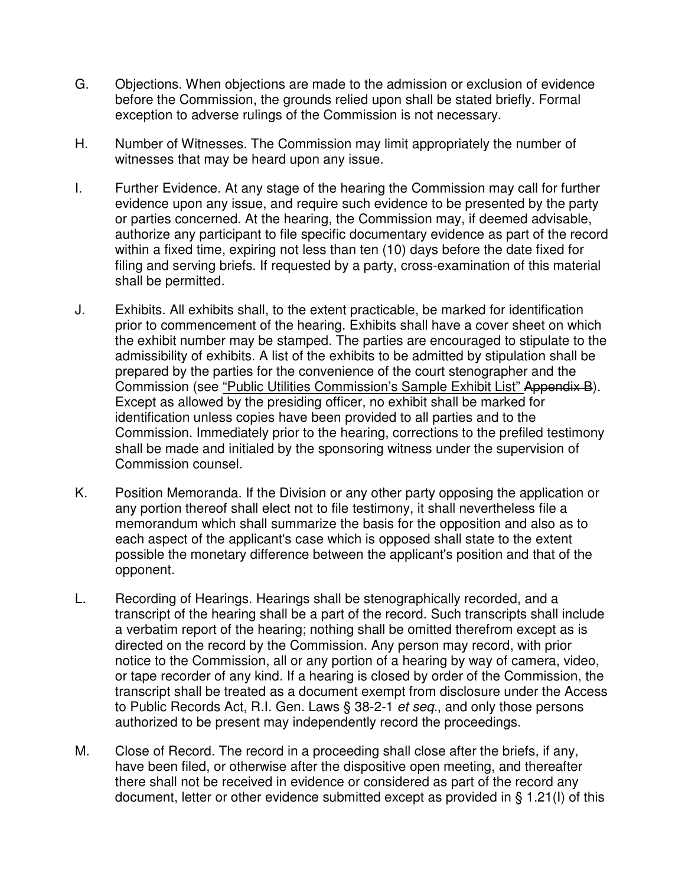- G. Objections. When objections are made to the admission or exclusion of evidence before the Commission, the grounds relied upon shall be stated briefly. Formal exception to adverse rulings of the Commission is not necessary.
- H. Number of Witnesses. The Commission may limit appropriately the number of witnesses that may be heard upon any issue.
- I. Further Evidence. At any stage of the hearing the Commission may call for further evidence upon any issue, and require such evidence to be presented by the party or parties concerned. At the hearing, the Commission may, if deemed advisable, authorize any participant to file specific documentary evidence as part of the record within a fixed time, expiring not less than ten (10) days before the date fixed for filing and serving briefs. If requested by a party, cross-examination of this material shall be permitted.
- J. Exhibits. All exhibits shall, to the extent practicable, be marked for identification prior to commencement of the hearing. Exhibits shall have a cover sheet on which the exhibit number may be stamped. The parties are encouraged to stipulate to the admissibility of exhibits. A list of the exhibits to be admitted by stipulation shall be prepared by the parties for the convenience of the court stenographer and the Commission (see "Public Utilities Commission's Sample Exhibit List" Appendix B). Except as allowed by the presiding officer, no exhibit shall be marked for identification unless copies have been provided to all parties and to the Commission. Immediately prior to the hearing, corrections to the prefiled testimony shall be made and initialed by the sponsoring witness under the supervision of Commission counsel.
- K. Position Memoranda. If the Division or any other party opposing the application or any portion thereof shall elect not to file testimony, it shall nevertheless file a memorandum which shall summarize the basis for the opposition and also as to each aspect of the applicant's case which is opposed shall state to the extent possible the monetary difference between the applicant's position and that of the opponent.
- L. Recording of Hearings. Hearings shall be stenographically recorded, and a transcript of the hearing shall be a part of the record. Such transcripts shall include a verbatim report of the hearing; nothing shall be omitted therefrom except as is directed on the record by the Commission. Any person may record, with prior notice to the Commission, all or any portion of a hearing by way of camera, video, or tape recorder of any kind. If a hearing is closed by order of the Commission, the transcript shall be treated as a document exempt from disclosure under the Access to Public Records Act, R.I. Gen. Laws § 38-2-1 et seq., and only those persons authorized to be present may independently record the proceedings.
- M. Close of Record. The record in a proceeding shall close after the briefs, if any, have been filed, or otherwise after the dispositive open meeting, and thereafter there shall not be received in evidence or considered as part of the record any document, letter or other evidence submitted except as provided in § 1.21(I) of this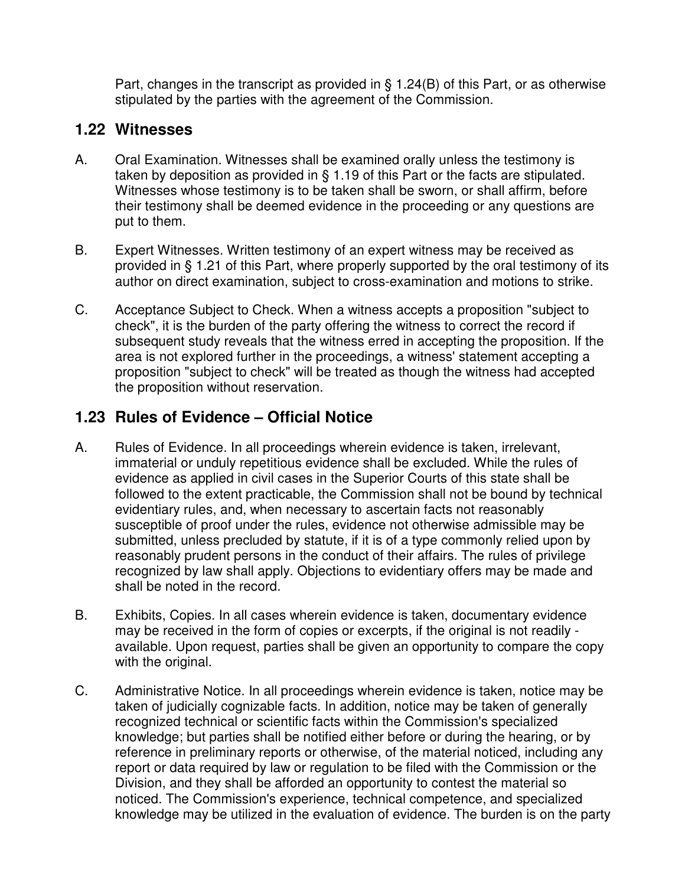Part, changes in the transcript as provided in § 1.24(B) of this Part, or as otherwise stipulated by the parties with the agreement of the Commission.

#### **1.22 Witnesses**

- A. Oral Examination. Witnesses shall be examined orally unless the testimony is taken by deposition as provided in § 1.19 of this Part or the facts are stipulated. Witnesses whose testimony is to be taken shall be sworn, or shall affirm, before their testimony shall be deemed evidence in the proceeding or any questions are put to them.
- B. Expert Witnesses. Written testimony of an expert witness may be received as provided in § 1.21 of this Part, where properly supported by the oral testimony of its author on direct examination, subject to cross-examination and motions to strike.
- C. Acceptance Subject to Check. When a witness accepts a proposition "subject to check", it is the burden of the party offering the witness to correct the record if subsequent study reveals that the witness erred in accepting the proposition. If the area is not explored further in the proceedings, a witness' statement accepting a proposition "subject to check" will be treated as though the witness had accepted the proposition without reservation.

## **1.23 Rules of Evidence – Official Notice**

- A. Rules of Evidence. In all proceedings wherein evidence is taken, irrelevant, immaterial or unduly repetitious evidence shall be excluded. While the rules of evidence as applied in civil cases in the Superior Courts of this state shall be followed to the extent practicable, the Commission shall not be bound by technical evidentiary rules, and, when necessary to ascertain facts not reasonably susceptible of proof under the rules, evidence not otherwise admissible may be submitted, unless precluded by statute, if it is of a type commonly relied upon by reasonably prudent persons in the conduct of their affairs. The rules of privilege recognized by law shall apply. Objections to evidentiary offers may be made and shall be noted in the record.
- B. Exhibits, Copies. In all cases wherein evidence is taken, documentary evidence may be received in the form of copies or excerpts, if the original is not readily available. Upon request, parties shall be given an opportunity to compare the copy with the original.
- C. Administrative Notice. In all proceedings wherein evidence is taken, notice may be taken of judicially cognizable facts. In addition, notice may be taken of generally recognized technical or scientific facts within the Commission's specialized knowledge; but parties shall be notified either before or during the hearing, or by reference in preliminary reports or otherwise, of the material noticed, including any report or data required by law or regulation to be filed with the Commission or the Division, and they shall be afforded an opportunity to contest the material so noticed. The Commission's experience, technical competence, and specialized knowledge may be utilized in the evaluation of evidence. The burden is on the party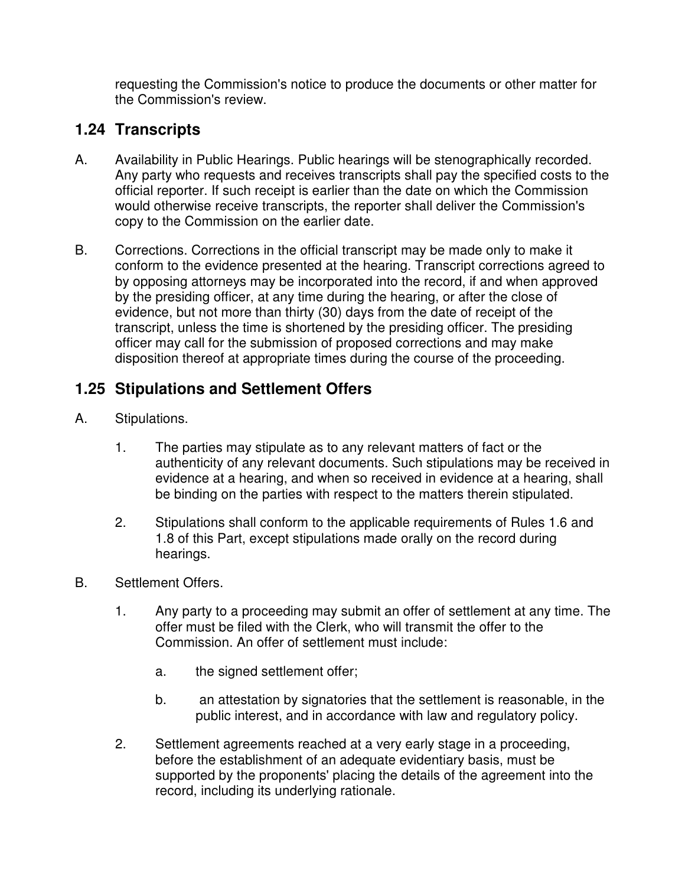requesting the Commission's notice to produce the documents or other matter for the Commission's review.

### **1.24 Transcripts**

- A. Availability in Public Hearings. Public hearings will be stenographically recorded. Any party who requests and receives transcripts shall pay the specified costs to the official reporter. If such receipt is earlier than the date on which the Commission would otherwise receive transcripts, the reporter shall deliver the Commission's copy to the Commission on the earlier date.
- B. Corrections. Corrections in the official transcript may be made only to make it conform to the evidence presented at the hearing. Transcript corrections agreed to by opposing attorneys may be incorporated into the record, if and when approved by the presiding officer, at any time during the hearing, or after the close of evidence, but not more than thirty (30) days from the date of receipt of the transcript, unless the time is shortened by the presiding officer. The presiding officer may call for the submission of proposed corrections and may make disposition thereof at appropriate times during the course of the proceeding.

### **1.25 Stipulations and Settlement Offers**

- A. Stipulations.
	- 1. The parties may stipulate as to any relevant matters of fact or the authenticity of any relevant documents. Such stipulations may be received in evidence at a hearing, and when so received in evidence at a hearing, shall be binding on the parties with respect to the matters therein stipulated.
	- 2. Stipulations shall conform to the applicable requirements of Rules 1.6 and 1.8 of this Part, except stipulations made orally on the record during hearings.
- B. Settlement Offers.
	- 1. Any party to a proceeding may submit an offer of settlement at any time. The offer must be filed with the Clerk, who will transmit the offer to the Commission. An offer of settlement must include:
		- a. the signed settlement offer;
		- b. an attestation by signatories that the settlement is reasonable, in the public interest, and in accordance with law and regulatory policy.
	- 2. Settlement agreements reached at a very early stage in a proceeding, before the establishment of an adequate evidentiary basis, must be supported by the proponents' placing the details of the agreement into the record, including its underlying rationale.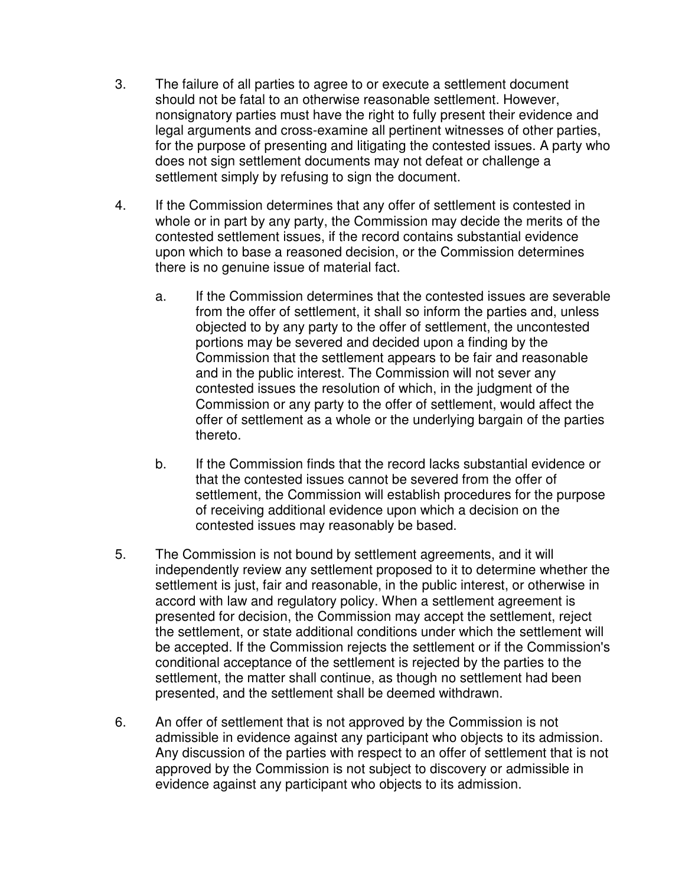- 3. The failure of all parties to agree to or execute a settlement document should not be fatal to an otherwise reasonable settlement. However, nonsignatory parties must have the right to fully present their evidence and legal arguments and cross-examine all pertinent witnesses of other parties, for the purpose of presenting and litigating the contested issues. A party who does not sign settlement documents may not defeat or challenge a settlement simply by refusing to sign the document.
- 4. If the Commission determines that any offer of settlement is contested in whole or in part by any party, the Commission may decide the merits of the contested settlement issues, if the record contains substantial evidence upon which to base a reasoned decision, or the Commission determines there is no genuine issue of material fact.
	- a. If the Commission determines that the contested issues are severable from the offer of settlement, it shall so inform the parties and, unless objected to by any party to the offer of settlement, the uncontested portions may be severed and decided upon a finding by the Commission that the settlement appears to be fair and reasonable and in the public interest. The Commission will not sever any contested issues the resolution of which, in the judgment of the Commission or any party to the offer of settlement, would affect the offer of settlement as a whole or the underlying bargain of the parties thereto.
	- b. If the Commission finds that the record lacks substantial evidence or that the contested issues cannot be severed from the offer of settlement, the Commission will establish procedures for the purpose of receiving additional evidence upon which a decision on the contested issues may reasonably be based.
- 5. The Commission is not bound by settlement agreements, and it will independently review any settlement proposed to it to determine whether the settlement is just, fair and reasonable, in the public interest, or otherwise in accord with law and regulatory policy. When a settlement agreement is presented for decision, the Commission may accept the settlement, reject the settlement, or state additional conditions under which the settlement will be accepted. If the Commission rejects the settlement or if the Commission's conditional acceptance of the settlement is rejected by the parties to the settlement, the matter shall continue, as though no settlement had been presented, and the settlement shall be deemed withdrawn.
- 6. An offer of settlement that is not approved by the Commission is not admissible in evidence against any participant who objects to its admission. Any discussion of the parties with respect to an offer of settlement that is not approved by the Commission is not subject to discovery or admissible in evidence against any participant who objects to its admission.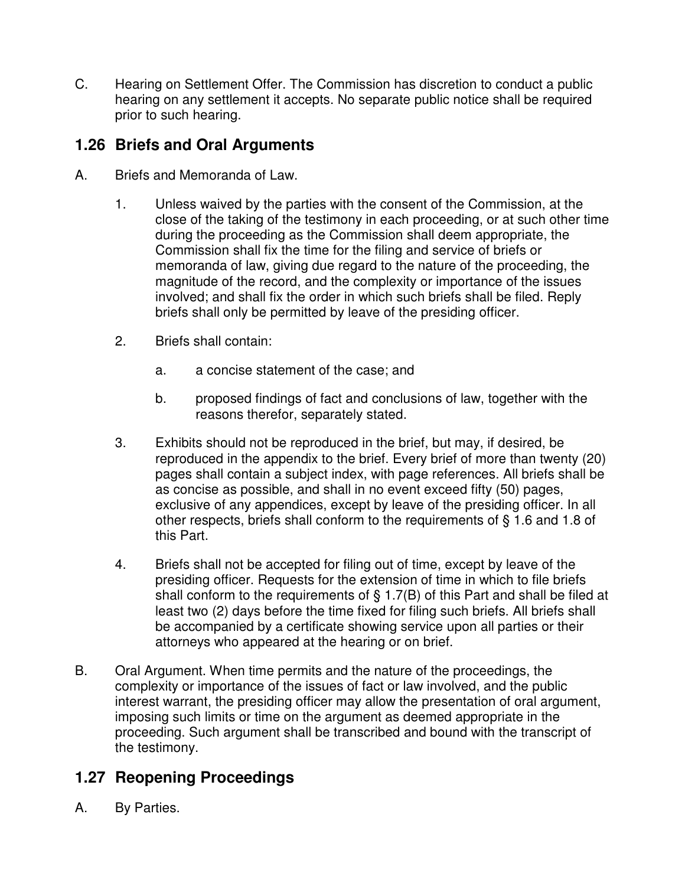C. Hearing on Settlement Offer. The Commission has discretion to conduct a public hearing on any settlement it accepts. No separate public notice shall be required prior to such hearing.

### **1.26 Briefs and Oral Arguments**

- A. Briefs and Memoranda of Law.
	- 1. Unless waived by the parties with the consent of the Commission, at the close of the taking of the testimony in each proceeding, or at such other time during the proceeding as the Commission shall deem appropriate, the Commission shall fix the time for the filing and service of briefs or memoranda of law, giving due regard to the nature of the proceeding, the magnitude of the record, and the complexity or importance of the issues involved; and shall fix the order in which such briefs shall be filed. Reply briefs shall only be permitted by leave of the presiding officer.
	- 2. Briefs shall contain:
		- a. a concise statement of the case; and
		- b. proposed findings of fact and conclusions of law, together with the reasons therefor, separately stated.
	- 3. Exhibits should not be reproduced in the brief, but may, if desired, be reproduced in the appendix to the brief. Every brief of more than twenty (20) pages shall contain a subject index, with page references. All briefs shall be as concise as possible, and shall in no event exceed fifty (50) pages, exclusive of any appendices, except by leave of the presiding officer. In all other respects, briefs shall conform to the requirements of § 1.6 and 1.8 of this Part.
	- 4. Briefs shall not be accepted for filing out of time, except by leave of the presiding officer. Requests for the extension of time in which to file briefs shall conform to the requirements of  $\S$  1.7(B) of this Part and shall be filed at least two (2) days before the time fixed for filing such briefs. All briefs shall be accompanied by a certificate showing service upon all parties or their attorneys who appeared at the hearing or on brief.
- B. Oral Argument. When time permits and the nature of the proceedings, the complexity or importance of the issues of fact or law involved, and the public interest warrant, the presiding officer may allow the presentation of oral argument, imposing such limits or time on the argument as deemed appropriate in the proceeding. Such argument shall be transcribed and bound with the transcript of the testimony.

## **1.27 Reopening Proceedings**

A. By Parties.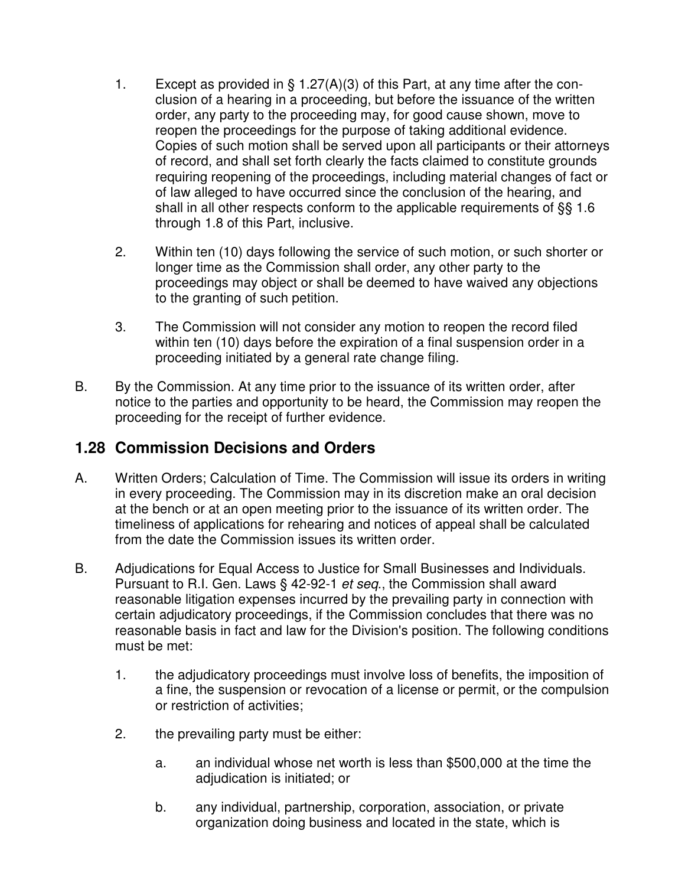- 1. Except as provided in § 1.27(A)(3) of this Part, at any time after the conclusion of a hearing in a proceeding, but before the issuance of the written order, any party to the proceeding may, for good cause shown, move to reopen the proceedings for the purpose of taking additional evidence. Copies of such motion shall be served upon all participants or their attorneys of record, and shall set forth clearly the facts claimed to constitute grounds requiring reopening of the proceedings, including material changes of fact or of law alleged to have occurred since the conclusion of the hearing, and shall in all other respects conform to the applicable requirements of §§ 1.6 through 1.8 of this Part, inclusive.
- 2. Within ten (10) days following the service of such motion, or such shorter or longer time as the Commission shall order, any other party to the proceedings may object or shall be deemed to have waived any objections to the granting of such petition.
- 3. The Commission will not consider any motion to reopen the record filed within ten (10) days before the expiration of a final suspension order in a proceeding initiated by a general rate change filing.
- B. By the Commission. At any time prior to the issuance of its written order, after notice to the parties and opportunity to be heard, the Commission may reopen the proceeding for the receipt of further evidence.

## **1.28 Commission Decisions and Orders**

- A. Written Orders; Calculation of Time. The Commission will issue its orders in writing in every proceeding. The Commission may in its discretion make an oral decision at the bench or at an open meeting prior to the issuance of its written order. The timeliness of applications for rehearing and notices of appeal shall be calculated from the date the Commission issues its written order.
- B. Adjudications for Equal Access to Justice for Small Businesses and Individuals. Pursuant to R.I. Gen. Laws § 42-92-1 et seq., the Commission shall award reasonable litigation expenses incurred by the prevailing party in connection with certain adjudicatory proceedings, if the Commission concludes that there was no reasonable basis in fact and law for the Division's position. The following conditions must be met:
	- 1. the adjudicatory proceedings must involve loss of benefits, the imposition of a fine, the suspension or revocation of a license or permit, or the compulsion or restriction of activities;
	- 2. the prevailing party must be either:
		- a. an individual whose net worth is less than \$500,000 at the time the adjudication is initiated; or
		- b. any individual, partnership, corporation, association, or private organization doing business and located in the state, which is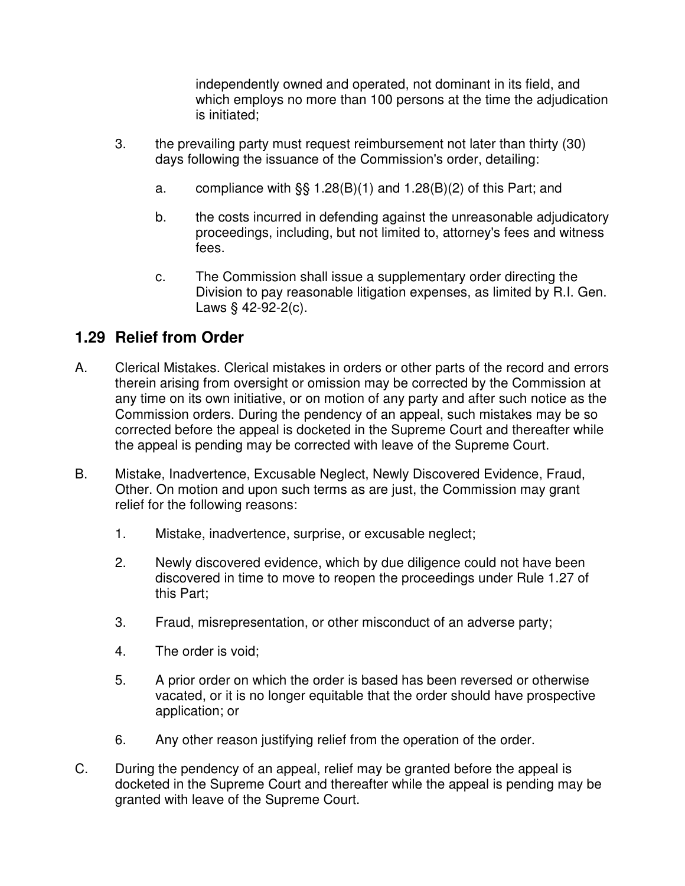independently owned and operated, not dominant in its field, and which employs no more than 100 persons at the time the adjudication is initiated;

- 3. the prevailing party must request reimbursement not later than thirty (30) days following the issuance of the Commission's order, detailing:
	- a. compliance with  $\S$ § 1.28(B)(1) and 1.28(B)(2) of this Part; and
	- b. the costs incurred in defending against the unreasonable adjudicatory proceedings, including, but not limited to, attorney's fees and witness fees.
	- c. The Commission shall issue a supplementary order directing the Division to pay reasonable litigation expenses, as limited by R.I. Gen. Laws § 42-92-2(c).

## **1.29 Relief from Order**

- A. Clerical Mistakes. Clerical mistakes in orders or other parts of the record and errors therein arising from oversight or omission may be corrected by the Commission at any time on its own initiative, or on motion of any party and after such notice as the Commission orders. During the pendency of an appeal, such mistakes may be so corrected before the appeal is docketed in the Supreme Court and thereafter while the appeal is pending may be corrected with leave of the Supreme Court.
- B. Mistake, Inadvertence, Excusable Neglect, Newly Discovered Evidence, Fraud, Other. On motion and upon such terms as are just, the Commission may grant relief for the following reasons:
	- 1. Mistake, inadvertence, surprise, or excusable neglect;
	- 2. Newly discovered evidence, which by due diligence could not have been discovered in time to move to reopen the proceedings under Rule 1.27 of this Part;
	- 3. Fraud, misrepresentation, or other misconduct of an adverse party;
	- 4. The order is void;
	- 5. A prior order on which the order is based has been reversed or otherwise vacated, or it is no longer equitable that the order should have prospective application; or
	- 6. Any other reason justifying relief from the operation of the order.
- C. During the pendency of an appeal, relief may be granted before the appeal is docketed in the Supreme Court and thereafter while the appeal is pending may be granted with leave of the Supreme Court.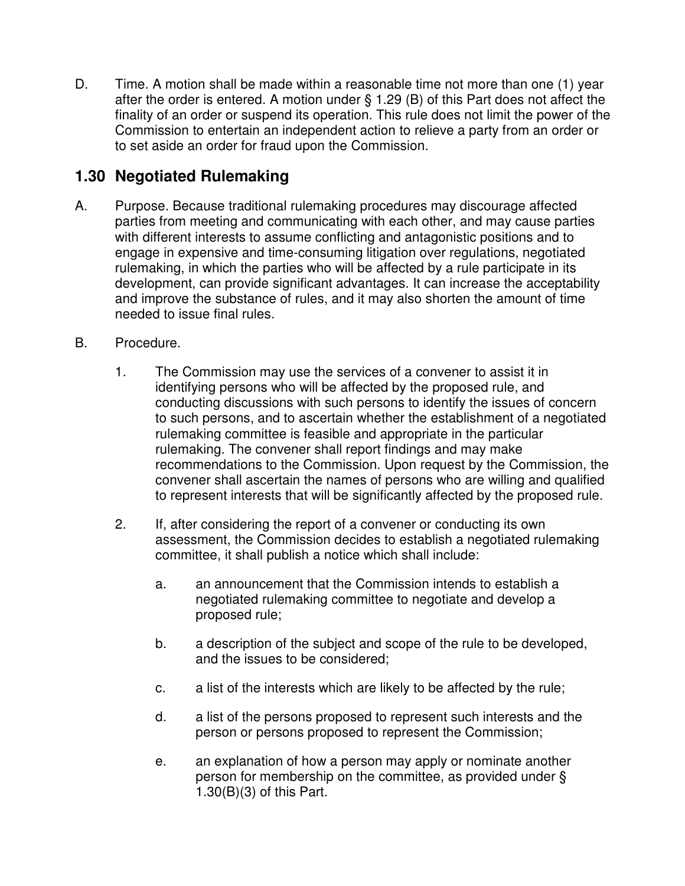D. Time. A motion shall be made within a reasonable time not more than one (1) year after the order is entered. A motion under § 1.29 (B) of this Part does not affect the finality of an order or suspend its operation. This rule does not limit the power of the Commission to entertain an independent action to relieve a party from an order or to set aside an order for fraud upon the Commission.

## **1.30 Negotiated Rulemaking**

- A. Purpose. Because traditional rulemaking procedures may discourage affected parties from meeting and communicating with each other, and may cause parties with different interests to assume conflicting and antagonistic positions and to engage in expensive and time-consuming litigation over regulations, negotiated rulemaking, in which the parties who will be affected by a rule participate in its development, can provide significant advantages. It can increase the acceptability and improve the substance of rules, and it may also shorten the amount of time needed to issue final rules.
- B. Procedure.
	- 1. The Commission may use the services of a convener to assist it in identifying persons who will be affected by the proposed rule, and conducting discussions with such persons to identify the issues of concern to such persons, and to ascertain whether the establishment of a negotiated rulemaking committee is feasible and appropriate in the particular rulemaking. The convener shall report findings and may make recommendations to the Commission. Upon request by the Commission, the convener shall ascertain the names of persons who are willing and qualified to represent interests that will be significantly affected by the proposed rule.
	- 2. If, after considering the report of a convener or conducting its own assessment, the Commission decides to establish a negotiated rulemaking committee, it shall publish a notice which shall include:
		- a. an announcement that the Commission intends to establish a negotiated rulemaking committee to negotiate and develop a proposed rule;
		- b. a description of the subject and scope of the rule to be developed, and the issues to be considered;
		- c. a list of the interests which are likely to be affected by the rule;
		- d. a list of the persons proposed to represent such interests and the person or persons proposed to represent the Commission;
		- e. an explanation of how a person may apply or nominate another person for membership on the committee, as provided under § 1.30(B)(3) of this Part.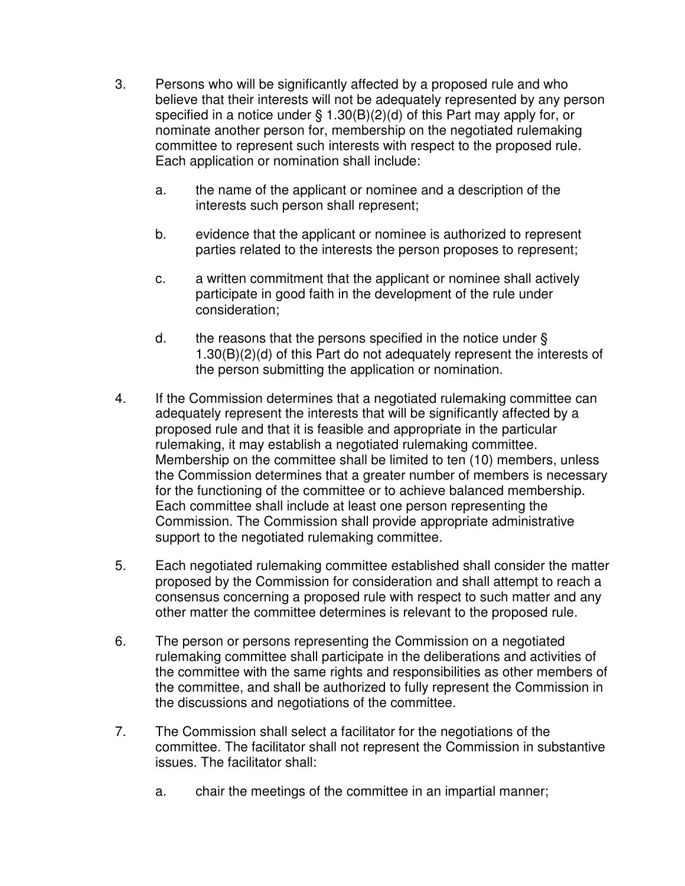- 3. Persons who will be significantly affected by a proposed rule and who believe that their interests will not be adequately represented by any person specified in a notice under § 1.30(B)(2)(d) of this Part may apply for, or nominate another person for, membership on the negotiated rulemaking committee to represent such interests with respect to the proposed rule. Each application or nomination shall include:
	- a. the name of the applicant or nominee and a description of the interests such person shall represent;
	- b. evidence that the applicant or nominee is authorized to represent parties related to the interests the person proposes to represent;
	- c. a written commitment that the applicant or nominee shall actively participate in good faith in the development of the rule under consideration;
	- d. the reasons that the persons specified in the notice under  $\S$ 1.30(B)(2)(d) of this Part do not adequately represent the interests of the person submitting the application or nomination.
- 4. If the Commission determines that a negotiated rulemaking committee can adequately represent the interests that will be significantly affected by a proposed rule and that it is feasible and appropriate in the particular rulemaking, it may establish a negotiated rulemaking committee. Membership on the committee shall be limited to ten (10) members, unless the Commission determines that a greater number of members is necessary for the functioning of the committee or to achieve balanced membership. Each committee shall include at least one person representing the Commission. The Commission shall provide appropriate administrative support to the negotiated rulemaking committee.
- 5. Each negotiated rulemaking committee established shall consider the matter proposed by the Commission for consideration and shall attempt to reach a consensus concerning a proposed rule with respect to such matter and any other matter the committee determines is relevant to the proposed rule.
- 6. The person or persons representing the Commission on a negotiated rulemaking committee shall participate in the deliberations and activities of the committee with the same rights and responsibilities as other members of the committee, and shall be authorized to fully represent the Commission in the discussions and negotiations of the committee.
- 7. The Commission shall select a facilitator for the negotiations of the committee. The facilitator shall not represent the Commission in substantive issues. The facilitator shall:
	- a. chair the meetings of the committee in an impartial manner;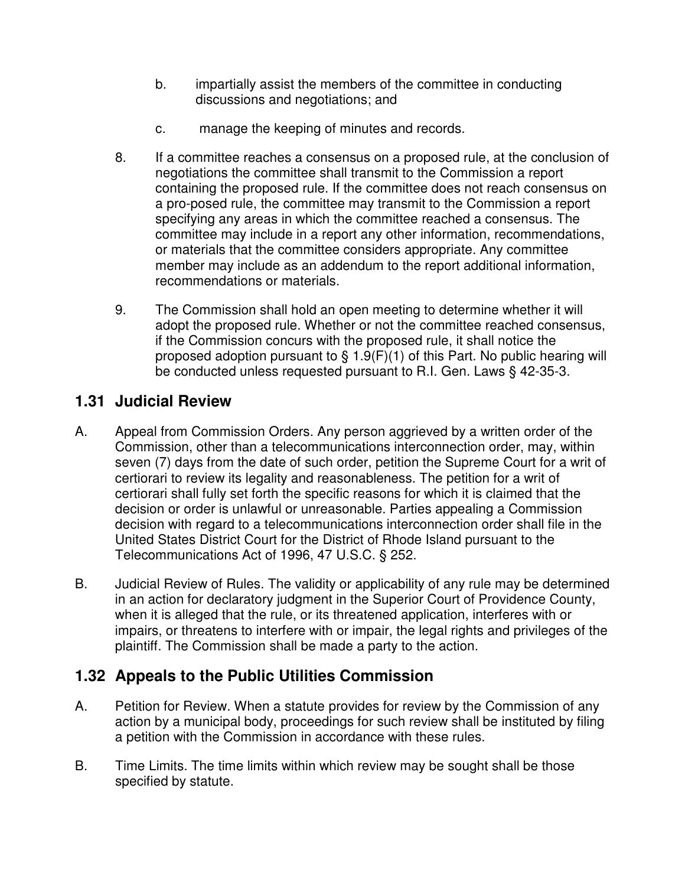- b. impartially assist the members of the committee in conducting discussions and negotiations; and
- c. manage the keeping of minutes and records.
- 8. If a committee reaches a consensus on a proposed rule, at the conclusion of negotiations the committee shall transmit to the Commission a report containing the proposed rule. If the committee does not reach consensus on a pro-posed rule, the committee may transmit to the Commission a report specifying any areas in which the committee reached a consensus. The committee may include in a report any other information, recommendations, or materials that the committee considers appropriate. Any committee member may include as an addendum to the report additional information, recommendations or materials.
- 9. The Commission shall hold an open meeting to determine whether it will adopt the proposed rule. Whether or not the committee reached consensus, if the Commission concurs with the proposed rule, it shall notice the proposed adoption pursuant to  $\S 1.9(F)(1)$  of this Part. No public hearing will be conducted unless requested pursuant to R.I. Gen. Laws § 42-35-3.

## **1.31 Judicial Review**

- A. Appeal from Commission Orders. Any person aggrieved by a written order of the Commission, other than a telecommunications interconnection order, may, within seven (7) days from the date of such order, petition the Supreme Court for a writ of certiorari to review its legality and reasonableness. The petition for a writ of certiorari shall fully set forth the specific reasons for which it is claimed that the decision or order is unlawful or unreasonable. Parties appealing a Commission decision with regard to a telecommunications interconnection order shall file in the United States District Court for the District of Rhode Island pursuant to the Telecommunications Act of 1996, 47 U.S.C. § 252.
- B. Judicial Review of Rules. The validity or applicability of any rule may be determined in an action for declaratory judgment in the Superior Court of Providence County, when it is alleged that the rule, or its threatened application, interferes with or impairs, or threatens to interfere with or impair, the legal rights and privileges of the plaintiff. The Commission shall be made a party to the action.

# **1.32 Appeals to the Public Utilities Commission**

- A. Petition for Review. When a statute provides for review by the Commission of any action by a municipal body, proceedings for such review shall be instituted by filing a petition with the Commission in accordance with these rules.
- B. Time Limits. The time limits within which review may be sought shall be those specified by statute.